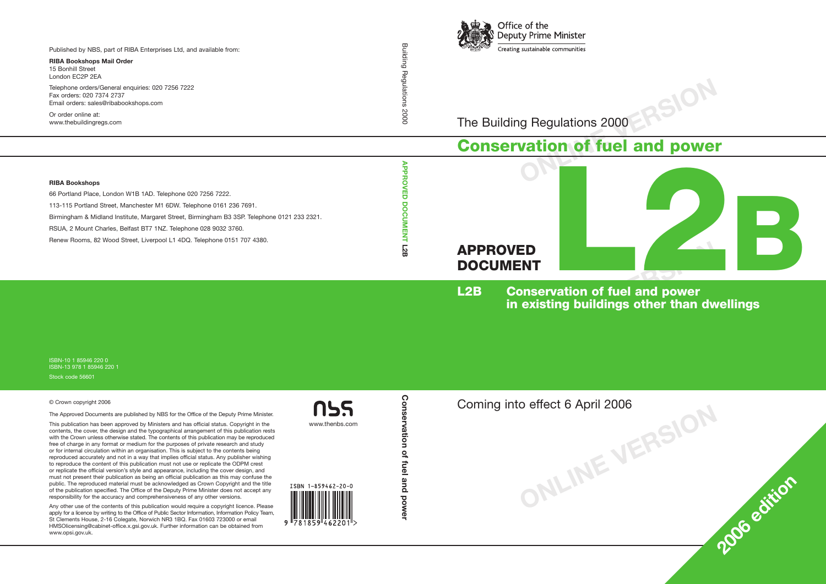

The Building Regulations 2000

## **Conservation of fuel and power**



**ONLINE VERSION**

**<sup>2006</sup> edition**

**L2B Conservation of fuel and power in existing buildings other than dwellings**

**ONLINE VERSION** Coming into effect 6 April 2006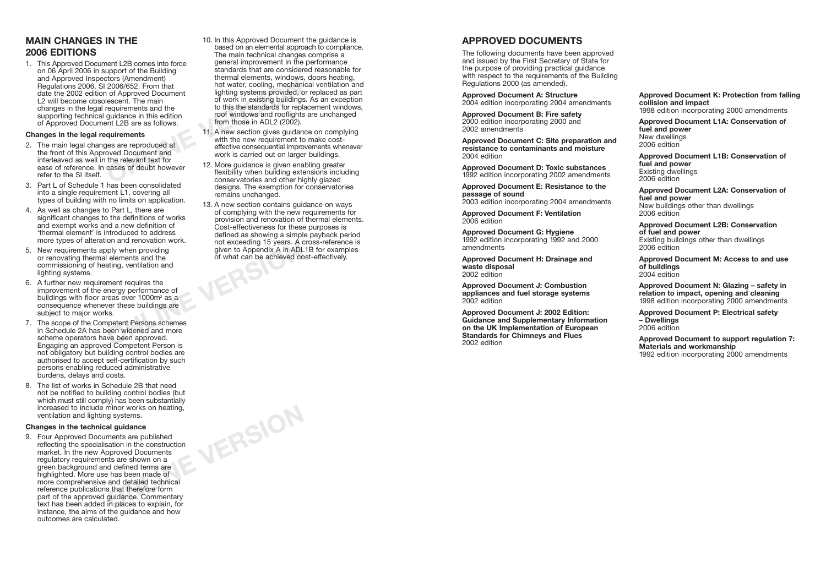## **MAIN CHANGES IN THE 2006 EDITIONS**

1. This Approved Document L2B comes into force on 06 April 2006 in support of the Building and Approved Inspectors (Amendment) Regulations 2006, SI 2006/652. From that date the 2002 edition of Approved Document L2 will become obsolescent. The main changes in the legal requirements and the supporting technical guidance in this edition of Approved Document L2B are as follows.

#### **Changes in the legal requirements**

- 2. The main legal changes are reproduced at the front of this Approved Document and interleaved as well in the relevant text for ease of reference. In cases of doubt however refer to the SI itself.
- 3. Part L of Schedule 1 has been consolidated into a single requirement L1, covering all types of building with no limits on application.
- 4. As well as changes to Part L, there are significant changes to the definitions of works and exempt works and a new definition of 'thermal element' is introduced to address more types of alteration and renovation work.
- 5. New requirements apply when providing or renovating thermal elements and the commissioning of heating, ventilation and lighting systems.
- From and renovation work. That are renovation work.<br>
I elements and the<br>
ating, ventilation and<br>
streamergy performance of<br>
reas over 1000m<sup>2</sup> as a<br>
ver these buildings are<br>
ks.<br>
mpetent Persons schemes<br>
we been approved.<br> 6. A further new requirement requires the improvement of the energy performance of buildings with floor areas over 1000m<sup>2</sup> as a consequence whenever these buildings are subject to major works.
- 7. The scope of the Competent Persons schemes in Schedule 2A has been widened and more scheme operators have been approved. Engaging an approved Competent Person is not obligatory but building control bodies are authorised to accept self-certification by such persons enabling reduced administrative burdens, delays and costs.
- 8. The list of works in Schedule 2B that need not be notified to building control bodies (but which must still comply) has been substantially increased to include minor works on heating, ventilation and lighting systems.

#### **Changes in the technical guidance**

9. Four Approved Documents are published reflecting the specialisation in the construction market. In the new Approved Documents regulatory requirements are shown on a green background and defined terms are highlighted. More use has been made of more comprehensive and detailed technical reference publications that therefore form part of the approved guidance. Commentary text has been added in places to explain, for instance, the aims of the guidance and how outcomes are calculated.

- Crois (Alterialment)<br>
2006/652. From that<br>
1 of Approved Document<br>
1 of Approved Document<br>
1 of Approved Document<br>
1 of Work in existing buildings<br>
requirements and the<br>
1 of work in existing buildings<br>
1 of work in existi 10. In this Approved Document the guidance is based on an elemental approach to compliance. The main technical changes comprise a general improvement in the performance standards that are considered reasonable for thermal elements, windows, doors heating, hot water, cooling, mechanical ventilation and lighting systems provided, or replaced as part of work in existing buildings. As an exception to this the standards for replacement windows, roof windows and rooflights are unchanged from those in ADL2 (2002).
	- 11. A new section gives guidance on complying with the new requirement to make costeffective consequential improvements whenever work is carried out on larger buildings.
	- 12. More guidance is given enabling greater flexibility when building extensions including conservatories and other highly glazed designs. The exemption for conservatories remains unchanged.
	- 13. A new section contains guidance on ways of complying with the new requirements for provision and renovation of thermal elements. Cost-effectiveness for these purposes is defined as showing a simple payback period not exceeding 15 years. A cross-reference is given to Appendix A in ADL1B for examples of what can be achieved cost-effectively.

**ONLINE VERSION**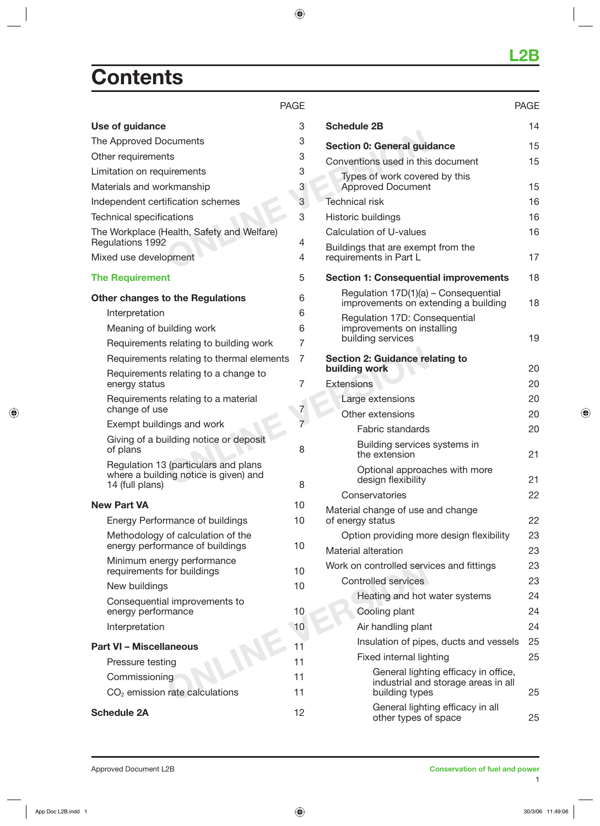## **Contents**

| Use of guidance                                          | 3  | <b>Schedule 2B</b>                           |
|----------------------------------------------------------|----|----------------------------------------------|
| The Approved Documents                                   | 3  | Section 0: General guid                      |
| Other requirements                                       | 3  | Conventions used in this                     |
| Limitation on requirements                               | 3  | Types of work cover                          |
| Materials and workmanship                                | 3  | <b>Approved Document</b>                     |
| Independent certification schemes                        | 3  | Technical risk                               |
| <b>Technical specifications</b>                          | 3  | Historic buildings                           |
| The Workplace (Health, Safety and Welfare)               |    | Calculation of U-values                      |
| Regulations 1992                                         | 4  | Buildings that are exemp                     |
| Mixed use development                                    | 4  | requirements in Part L                       |
| <b>The Requirement</b>                                   | 5  | <b>Section 1: Consequent</b>                 |
| <b>Other changes to the Regulations</b>                  | 6  | Regulation 17D(1)(a)<br>improvements on ex   |
| Interpretation                                           | 6  | Regulation 17D: Cor                          |
| Meaning of building work                                 | 6  | improvements on ins                          |
| Requirements relating to building work                   | 7  | building services                            |
| Requirements relating to thermal elements                | 7  | <b>Section 2: Guidance re</b>                |
| Requirements relating to a change to<br>energy status    | 7  | building work<br><b>Extensions</b>           |
| Requirements relating to a material                      |    | Large extensions                             |
| change of use                                            | 7  | Other extensions                             |
| Exempt buildings and work                                | 7  | <b>Fabric standards</b>                      |
| Giving of a building notice or deposit                   |    | <b>Building services</b>                     |
| of plans                                                 | 8  | the extension                                |
| Regulation 13 (particulars and plans                     |    | Optional approad                             |
| where a building notice is given) and<br>14 (full plans) | 8  | design flexibility                           |
| <b>New Part VA</b>                                       | 10 | Conservatories                               |
| <b>Energy Performance of buildings</b>                   | 10 | Material change of use a<br>of energy status |
| Methodology of calculation of the                        |    | Option providing mo                          |
| energy performance of buildings                          | 10 | Material alteration                          |
| Minimum energy performance                               |    | Work on controlled servi                     |
| requirements for buildings                               | 10 | Controlled services                          |
| New buildings                                            | 10 | Heating and hot                              |
| Consequential improvements to<br>energy performance      | 10 | Cooling plant                                |
| Interpretation                                           | 10 | Air handling plan                            |
|                                                          |    | Insulation of pipe                           |
| <b>Part VI - Miscellaneous</b>                           | 11 | Fixed internal ligl                          |
| Pressure testing                                         | 11 | General lighti                               |
| Commissioning                                            | 11 | industrial and                               |
| $CO2$ emission rate calculations                         | 11 | building type                                |
| <b>Schedule 2A</b>                                       | 12 | General lighti<br>other tynes o              |

|--|

### PAGE

| <b>Schedule 2B</b>                                                                            | 14 |
|-----------------------------------------------------------------------------------------------|----|
| <b>Section 0: General guidance</b>                                                            | 15 |
| Conventions used in this document                                                             | 15 |
| Types of work covered by this<br><b>Approved Document</b>                                     | 15 |
| Technical risk                                                                                | 16 |
| Historic buildings                                                                            | 16 |
| Calculation of U-values                                                                       | 16 |
| Buildings that are exempt from the<br>requirements in Part L                                  | 17 |
| <b>Section 1: Consequential improvements</b>                                                  | 18 |
| Regulation 17D(1)(a) - Consequential<br>improvements on extending a building                  | 18 |
| Regulation 17D: Consequential<br>improvements on installing<br>building services              | 19 |
| <b>Section 2: Guidance relating to</b>                                                        |    |
| building work                                                                                 | 20 |
| <b>Extensions</b>                                                                             | 20 |
| Large extensions                                                                              | 20 |
| Other extensions                                                                              | 20 |
| Fabric standards                                                                              | 20 |
| Building services systems in<br>the extension                                                 | 21 |
| Optional approaches with more<br>design flexibility                                           | 21 |
| Conservatories                                                                                | 22 |
| Material change of use and change<br>of energy status                                         | 22 |
| Option providing more design flexibility                                                      | 23 |
| <b>Material alteration</b>                                                                    | 23 |
| Work on controlled services and fittings                                                      | 23 |
| <b>Controlled services</b>                                                                    | 23 |
| Heating and hot water systems                                                                 | 24 |
| Cooling plant                                                                                 | 24 |
| Air handling plant                                                                            | 24 |
| Insulation of pipes, ducts and vessels                                                        | 25 |
| Fixed internal lighting                                                                       | 25 |
| General lighting efficacy in office,<br>industrial and storage areas in all<br>building types | 25 |
| General lighting efficacy in all<br>other types of space                                      | 25 |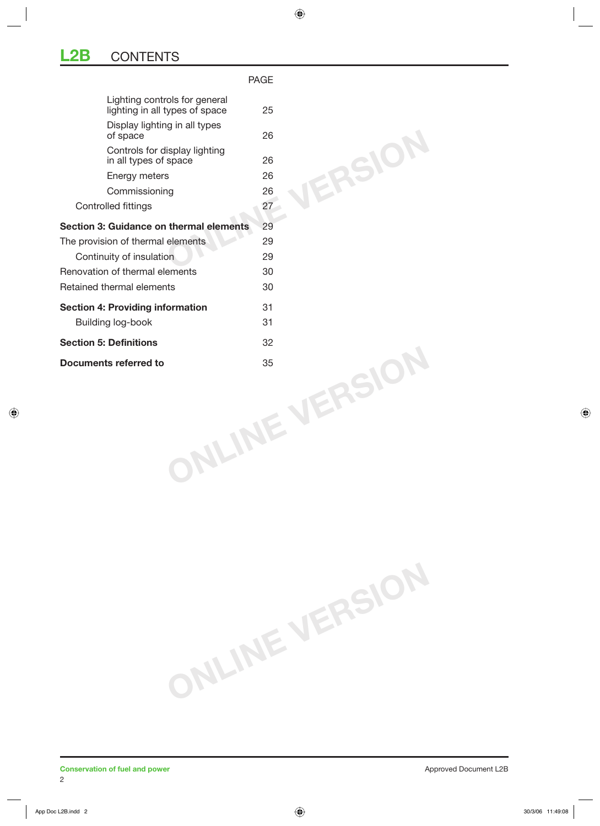## **L2B** CONTENTS

|                                                                 | <b>PAGE</b>         |
|-----------------------------------------------------------------|---------------------|
| Lighting controls for general<br>lighting in all types of space | 25                  |
| Display lighting in all types<br>of space                       | 26                  |
| Controls for display lighting<br>in all types of space          | <b>JERSIO</b><br>26 |
| Energy meters                                                   | 26                  |
| Commissioning                                                   | 26                  |
| Controlled fittings                                             | 27                  |
| Section 3: Guidance on thermal elements                         | 29                  |
| The provision of thermal elements                               | 29                  |
| Continuity of insulation                                        | 29                  |
| Renovation of thermal elements                                  | 30                  |
| Retained thermal elements                                       | 30                  |
| <b>Section 4: Providing information</b>                         | 31                  |
| Building log-book                                               | 31                  |
| <b>Section 5: Definitions</b>                                   | 32                  |
| Documents referred to                                           |                     |
|                                                                 | NLINE VERSIO        |

**ONLINE VERSION**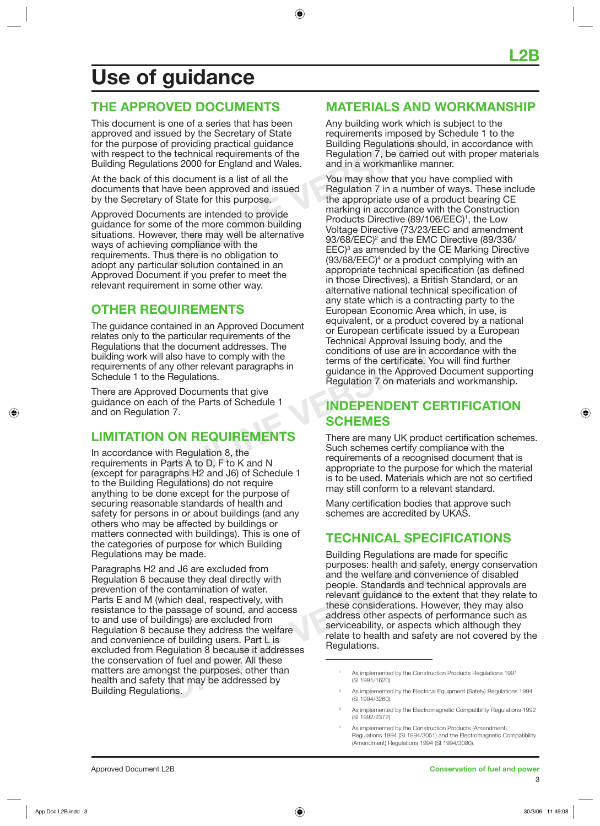## **Use of guidance**

## **THE APPROVED DOCUMENTS**

This document is one of a series that has been approved and issued by the Secretary of State for the purpose of providing practical guidance with respect to the technical requirements of the Building Regulations 2000 for England and Wales.

At the back of this document is a list of all the documents that have been approved and issued by the Secretary of State for this purpose.

Approved Documents are intended to provide guidance for some of the more common building situations. However, there may well be alternative ways of achieving compliance with the requirements. Thus there is no obligation to adopt any particular solution contained in an Approved Document if you prefer to meet the relevant requirement in some other way.

## **OTHER REQUIREMENTS**

The guidance contained in an Approved Document relates only to the particular requirements of the Regulations that the document addresses. The building work will also have to comply with the requirements of any other relevant paragraphs in Schedule 1 to the Regulations.

There are Approved Documents that give guidance on each of the Parts of Schedule 1 and on Regulation 7.

## **LIMITATION ON REQUIREMENTS**

In accordance with Regulation 8, the requirements in Parts A to D, F to K and N (except for paragraphs H2 and J6) of Schedule 1 to the Building Regulations) do not require anything to be done except for the purpose of securing reasonable standards of health and safety for persons in or about buildings (and any others who may be affected by buildings or matters connected with buildings). This is one of the categories of purpose for which Building Regulations may be made.

**ONCORRED SET AS IMPLETED SET AND FINDIOR CONTROLLED AS IMPLIFIED AS IMPLIFIED AS IMPLIFIED AS IMPLIFIED AS IMPLIFIED AS IMPLIFIED AS IMPLIFIED AS IMPLIFIED AS IMPLIFIED AS IMPLIFIED AS IMPLIFIED AS IMPLIFIED AS IMPLIFIED** Paragraphs H2 and J6 are excluded from Regulation 8 because they deal directly with prevention of the contamination of water. Parts E and M (which deal, respectively, with resistance to the passage of sound, and access to and use of buildings) are excluded from Regulation 8 because they address the welfare and convenience of building users. Part L is excluded from Regulation 8 because it addresses the conservation of fuel and power. All these matters are amongst the purposes, other than health and safety that may be addressed by Building Regulations.

## **MATERIALS AND WORKMANSHIP**

Any building work which is subject to the requirements imposed by Schedule 1 to the Building Regulations should, in accordance with Regulation 7, be carried out with proper materials and in a workmanlike manner.

and by the Secretary of State<br>
f providing practical guidance<br>
be technical requirements of the<br>
Dialiding Regulations show<br>
and in a workmanike m<br>
s document is a list of all the<br>
s document is a list of all the<br>
s docume You may show that you have complied with Regulation 7 in a number of ways. These include the appropriate use of a product bearing CE marking in accordance with the Construction Products Directive (89/106/EEC)<sup>1</sup>, the Low Voltage Directive (73/23/EEC and amendment 93/68/EEC)<sup>2</sup> and the EMC Directive (89/336/ EEC)<sup>3</sup> as amended by the CE Marking Directive  $(93/68/EEC)<sup>4</sup>$  or a product complying with an appropriate technical specification (as defined in those Directives), a British Standard, or an alternative national technical specification of any state which is a contracting party to the European Economic Area which, in use, is equivalent, or a product covered by a national or European certificate issued by a European Technical Approval Issuing body, and the conditions of use are in accordance with the terms of the certificate. You will find further guidance in the Approved Document supporting Regulation 7 on materials and workmanship.

## **INDEPENDENT CERTIFICATION SCHEMES**

The document addresses. The<br>
malso have to comply with the<br>
my other relevant paragraphs in<br>
Regulations.<br>
Regulations of the Parts of Schedule 1<br>
n 7.<br> **ON REQUIREMENTS**<br>
CON REQUIREMENTS<br>
There are many UK prod<br>
th Regul There are many UK product certification schemes. Such schemes certify compliance with the requirements of a recognised document that is appropriate to the purpose for which the material is to be used. Materials which are not so certified may still conform to a relevant standard.

> Many certification bodies that approve such schemes are accredited by UKAS.

## **TECHNICAL SPECIFICATIONS**

Building Regulations are made for specific purposes: health and safety, energy conservation and the welfare and convenience of disabled people. Standards and technical approvals are relevant guidance to the extent that they relate to these considerations. However, they may also address other aspects of performance such as serviceability, or aspects which although they relate to health and safety are not covered by the Regulations.

4

<sup>1</sup> As implemented by the Construction Products Regulations 1991 (SI 1991/1620).

<sup>2</sup> As implemented by the Electrical Equipment (Safety) Regulations 1994 (SI 1994/3260).

<sup>3</sup> As implemented by the Electromagnetic Compatibility Regulations 1992 (SI 1992/2372).

As implemented by the Construction Products (Amendment) Regulations 1994 (SI 1994/3051) and the Electromagnetic Compatibility (Amendment) Regulations 1994 (SI 1994/3080).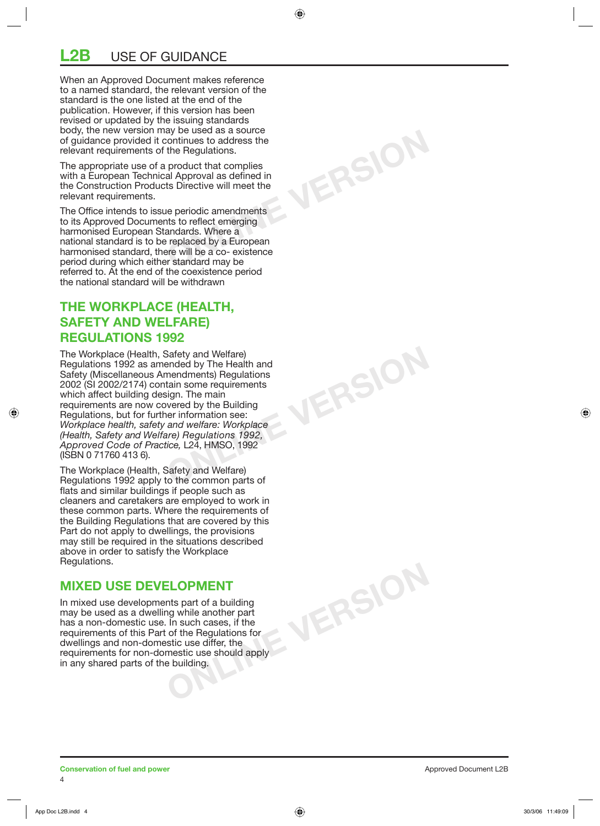## **LISE OF GUIDANCE**

When an Approved Document makes reference to a named standard, the relevant version of the standard is the one listed at the end of the publication. However, if this version has been revised or updated by the issuing standards body, the new version may be used as a source of guidance provided it continues to address the relevant requirements of the Regulations.

The appropriate use of a product that complies with a European Technical Approval as defined in the Construction Products Directive will meet the relevant requirements.

**ONLINE VERSION**

**ONLINE VERSION**

**ONLINE VERSION**

The Office intends to issue periodic amendments to its Approved Documents to reflect emerging harmonised European Standards. Where a national standard is to be replaced by a European harmonised standard, there will be a co- existence period during which either standard may be referred to. At the end of the coexistence period the national standard will be withdrawn

### **THE WORKPLACE (HEALTH, SAFETY AND WELFARE) REGULATIONS 1992**

The Workplace (Health, Safety and Welfare) Regulations 1992 as amended by The Health and Safety (Miscellaneous Amendments) Regulations 2002 (SI 2002/2174) contain some requirements which affect building design. The main requirements are now covered by the Building Regulations, but for further information see: *Workplace health, safety and welfare: Workplace (Health, Safety and Welfare) Regulations 1992, Approved Code of Practice,* L24, HMSO, 1992 (ISBN 0 71760 413 6).

The Workplace (Health, Safety and Welfare) Regulations 1992 apply to the common parts of flats and similar buildings if people such as cleaners and caretakers are employed to work in these common parts. Where the requirements of the Building Regulations that are covered by this Part do not apply to dwellings, the provisions may still be required in the situations described above in order to satisfy the Workplace Regulations.

### **MIXED USE DEVELOPMENT**

In mixed use developments part of a building may be used as a dwelling while another part has a non-domestic use. In such cases, if the requirements of this Part of the Regulations for dwellings and non-domestic use differ, the requirements for non-domestic use should apply in any shared parts of the building.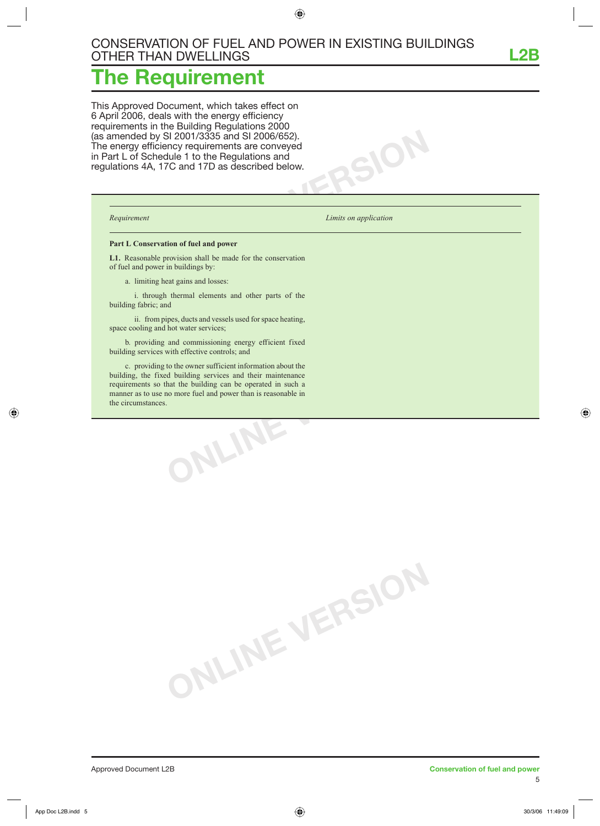**ONLINE VERSION**

## **The Requirement**

This Approved Document, which takes effect on 6 April 2006, deals with the energy efficiency requirements in the Building Regulations 2000 (as amended by SI 2001/3335 and SI 2006/652). The energy efficiency requirements are conveyed in Part L of Schedule 1 to the Regulations and regulations 4A, 17C and 17D as described below.

*Requirement Limits on application* 

 $SOR$ 

#### **Part L Conservation of fuel and power**

**L1.** Reasonable provision shall be made for the conservation of fuel and power in buildings by:

a. limiting heat gains and losses:

 i. through thermal elements and other parts of the building fabric; and

 ii. from pipes, ducts and vessels used for space heating, space cooling and hot water services;

 b. providing and commissioning energy efficient fixed building services with effective controls; and

**ONLINE VERSION** c. providing to the owner sufficient information about the building, the fixed building services and their maintenance requirements so that the building can be operated in such a manner as to use no more fuel and power than is reasonable in the circumstances.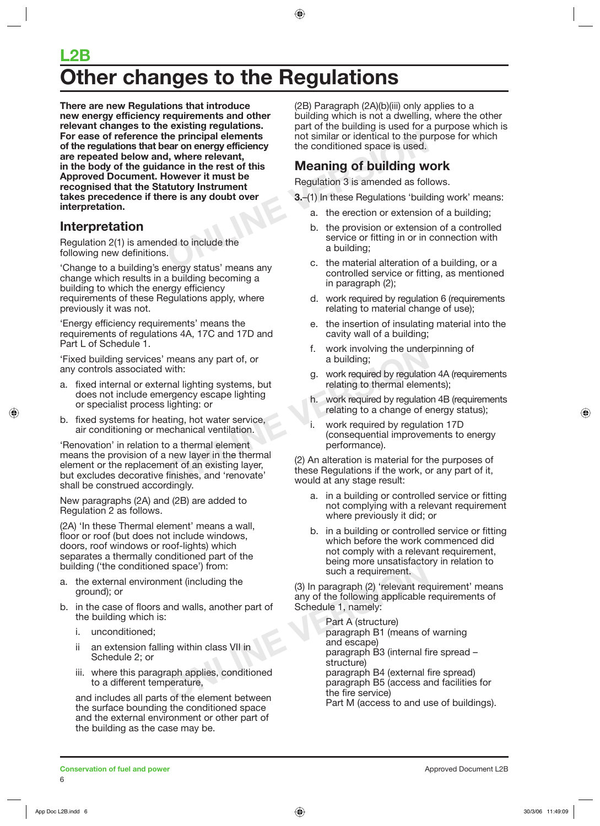## **L2B Other changes to the Regulations**

**Example 19 and 19 and 19 and 19 and 19 and 19 and 19 and 19 and 19 and 19 and 19 and 19 and 19 and 19 and 19 and 19 and 19 and 19 and 19 and 19 and 19 and 19 and 19 and 19 and 19 and 19 and 19 and 19 and 19 and 19 and 19 There are new Regulations that introduce new energy efficiency requirements and other relevant changes to the existing regulations. For ease of reference the principal elements of the regulations that bear on energy efficiency are repeated below and, where relevant, in the body of the guidance in the rest of this Approved Document. However it must be recognised that the Statutory Instrument takes precedence if there is any doubt over interpretation.**

## **Interpretation**

Regulation 2(1) is amended to include the following new definitions.

'Change to a building's energy status' means any change which results in a building becoming a building to which the energy efficiency requirements of these Regulations apply, where previously it was not.

'Energy efficiency requirements' means the requirements of regulations 4A, 17C and 17D and Part L of Schedule 1.

'Fixed building services' means any part of, or any controls associated with:

- a. fixed internal or external lighting systems, but does not include emergency escape lighting or specialist process lighting: or
- b. fixed systems for heating, hot water service, air conditioning or mechanical ventilation.

means any part of, or<br>
with:<br>
with:<br>
ral lighting systems, but<br>
relating to thermal element<br>
lighting: or<br>
a building;<br>
lighting to thermal element<br>
lighting: or<br>
echanical ventilation.<br>
o a thermal element<br>
new layer in t 'Renovation' in relation to a thermal element means the provision of a new layer in the thermal element or the replacement of an existing layer, but excludes decorative finishes, and 'renovate' shall be construed accordingly.

New paragraphs (2A) and (2B) are added to Regulation 2 as follows.

(2A) 'In these Thermal element' means a wall, floor or roof (but does not include windows, doors, roof windows or roof-lights) which separates a thermally conditioned part of the building ('the conditioned space') from:

- a. the external environment (including the ground); or
- b. in the case of floors and walls, another part of the building which is:
	- i. unconditioned;
	- ii an extension falling within class VII in Schedule 2; or
	- iii. where this paragraph applies, conditioned to a different temperature,

and includes all parts of the element between the surface bounding the conditioned space and the external environment or other part of the building as the case may be.

(2B) Paragraph (2A)(b)(iii) only applies to a building which is not a dwelling, where the other part of the building is used for a purpose which is not similar or identical to the purpose for which the conditioned space is used.

## **Meaning of building work**

Regulation 3 is amended as follows.

- **3.**–(1) In these Regulations 'building work' means:
	- a. the erection or extension of a building;
	- b. the provision or extension of a controlled service or fitting in or in connection with a building;
	- c. the material alteration of a building, or a controlled service or fitting, as mentioned in paragraph (2);
	- d. work required by regulation 6 (requirements relating to material change of use);
	- e. the insertion of insulating material into the cavity wall of a building;
	- f. work involving the underpinning of a building;
	- g. work required by regulation 4A (requirements relating to thermal elements);
	- h. work required by regulation 4B (requirements relating to a change of energy status);
	- i. work required by regulation 17D (consequential improvements to energy performance).

(2) An alteration is material for the purposes of these Regulations if the work, or any part of it, would at any stage result:

- a. in a building or controlled service or fitting not complying with a relevant requirement where previously it did; or
- b. in a building or controlled service or fitting which before the work commenced did not comply with a relevant requirement, being more unsatisfactory in relation to such a requirement.

(3) In paragraph (2) 'relevant requirement' means any of the following applicable requirements of Schedule 1, namely:

d space') from:<br>
nent (including the<br>
and walls, another part of<br>
and walls, another part of<br>
Schedule 1, namely:<br>
Part A (structure)<br>
paragraph B1 (means of<br>
ng within class VII in<br>
applies, conditioned<br>
perature,<br>
so f t Part A (structure) paragraph B1 (means of warning and escape) paragraph B3 (internal fire spread – structure) paragraph B4 (external fire spread) paragraph B5 (access and facilities for the fire service) Part M (access to and use of buildings).

**Conservation of fuel and power Conservation of the and power** Approved Document L2B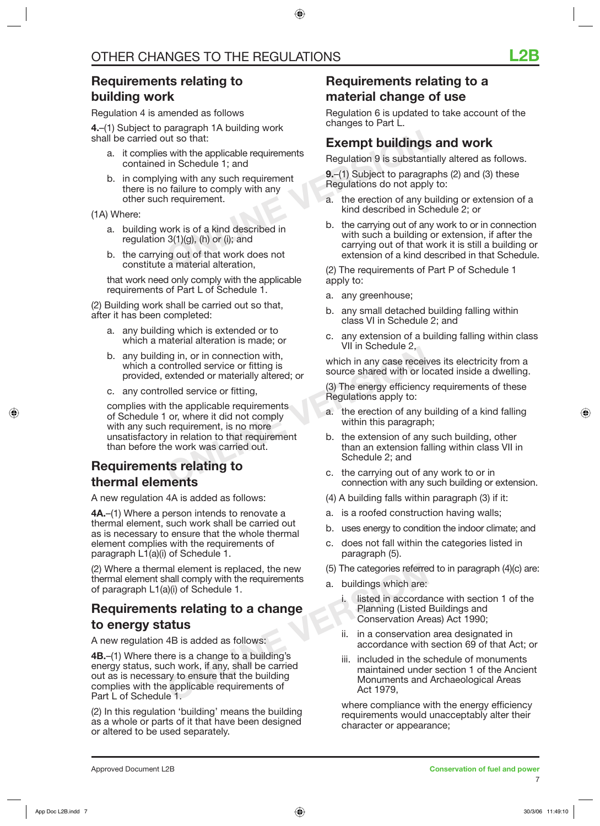## **Requirements relating to building work**

Regulation 4 is amended as follows

**4.**–(1) Subject to paragraph 1A building work shall be carried out so that:

- a. it complies with the applicable requirements contained in Schedule 1; and
- b. in complying with any such requirement there is no failure to comply with any other such requirement.

(1A) Where:

- a. building work is of a kind described in regulation  $3(1)(g)$ , (h) or (i); and
- b. the carrying out of that work does not constitute a material alteration,

 that work need only comply with the applicable requirements of Part L of Schedule 1.

(2) Building work shall be carried out so that, after it has been completed:

- a. any building which is extended or to which a material alteration is made; or
- b. any building in, or in connection with, which a controlled service or fitting is provided, extended or materially altered; or
- c. any controlled service or fitting,

and in the applicable requirements<br>
ontrolled service or fitting is<br>
bled service or fitting,<br>
bled service or fitting,<br>
bled service or fitting,<br>
or, where it did not comply<br>
or, where it did not comply<br>
a. the erection o complies with the applicable requirements of Schedule 1 or, where it did not comply with any such requirement, is no more unsatisfactory in relation to that requirement than before the work was carried out.

## **Requirements relating to thermal elements**

A new regulation 4A is added as follows:

**4A.**–(1) Where a person intends to renovate a thermal element, such work shall be carried out as is necessary to ensure that the whole thermal element complies with the requirements of paragraph L1(a)(i) of Schedule 1.

(2) Where a thermal element is replaced, the new thermal element shall comply with the requirements of paragraph L1(a)(i) of Schedule 1.

## **Requirements relating to a change to energy status**

A new regulation 4B is added as follows:

**Example 1.** Included in the step is a change of a change of a change of a change of a change of a change of a change of a change of a change of a change of a corda Planning (Listed in accorda<br> **ALIS** is added as follows:<br> **4B.**–(1) Where there is a change to a building's energy status, such work, if any, shall be carried out as is necessary to ensure that the building complies with the applicable requirements of Part L of Schedule 1.

(2) In this regulation 'building' means the building as a whole or parts of it that have been designed or altered to be used separately.

## **Requirements relating to a material change of use**

Regulation 6 is updated to take account of the changes to Part L.

### **Exempt buildings and work**

Regulation 9 is substantially altered as follows.

**9.**–(1) Subject to paragraphs (2) and (3) these Regulations do not apply to:

- a. the erection of any building or extension of a kind described in Schedule 2; or
- Exempt buildings<br>
ut so that:<br>
in Schedule 1; and<br>
ing with any such requirement<br>
b failure to comply with any<br>
n requirement.<br>
<br>
Nork is of a kind described in<br>
Schedule 1; and<br>
a. the erection of any b<br>
kind described in b. the carrying out of any work to or in connection with such a building or extension, if after the carrying out of that work it is still a building or extension of a kind described in that Schedule.

(2) The requirements of Part P of Schedule 1 apply to:

- a. any greenhouse;
- b. any small detached building falling within class VI in Schedule 2; and
- c. any extension of a building falling within class VII in Schedule 2,

which in any case receives its electricity from a source shared with or located inside a dwelling.

(3) The energy efficiency requirements of these Regulations apply to:

- a. the erection of any building of a kind falling within this paragraph;
- b. the extension of any such building, other than an extension falling within class VII in Schedule 2; and
- c. the carrying out of any work to or in connection with any such building or extension.
- (4) A building falls within paragraph (3) if it:
- a. is a roofed construction having walls;
- b. uses energy to condition the indoor climate; and
- c. does not fall within the categories listed in paragraph (5).
- (5) The categories referred to in paragraph (4)(c) are:
- a. buildings which are:
	- i. listed in accordance with section 1 of the Planning (Listed Buildings and Conservation Areas) Act 1990;
	- ii. in a conservation area designated in accordance with section 69 of that Act; or
	- iii. included in the schedule of monuments maintained under section 1 of the Ancient Monuments and Archaeological Areas Act 1979,

 where compliance with the energy efficiency requirements would unacceptably alter their character or appearance;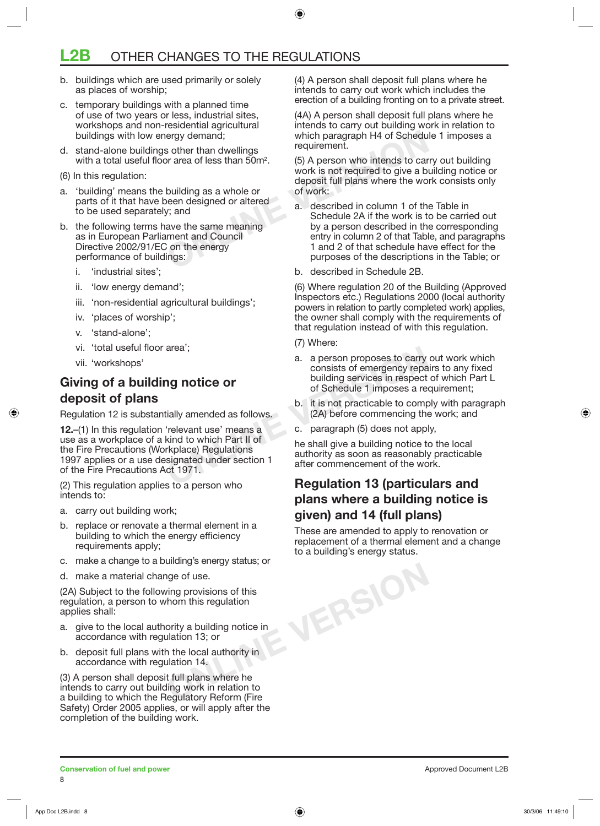## **OTHER CHANGES TO THE REGULATIONS**

- b. buildings which are used primarily or solely as places of worship;
- c. temporary buildings with a planned time of use of two years or less, industrial sites, workshops and non-residential agricultural buildings with low energy demand;
- d. stand-alone buildings other than dwellings with a total useful floor area of less than  $50m^2$ .
- (6) In this regulation:
- a. 'building' means the building as a whole or parts of it that have been designed or altered to be used separately; and
- b. the following terms have the same meaning as in European Parliament and Council Directive 2002/91/EC on the energy performance of buildings:
	- i. 'industrial sites';
	- ii. 'low energy demand';
	- iii. 'non-residential agricultural buildings';
	- iv. 'places of worship';
	- v. 'stand-alone';
	- vi. 'total useful floor area';
	- vii. 'workshops'

## **Giving of a building notice or deposit of plans**

Regulation 12 is substantially amended as follows.

a. a person proposes to carry<br> **ONLINE COMPAGE COMPLEM**<br>
20 **ONCICE OF**<br>
20 **ONCICE COMPAGE COMPLEM**<br>
20 **ONCICE COMPAGE COMPAGE COMPOSES**<br>
20 **DESCRIPED COMPAGE COMPAGE COMPAGE COMPAGE COMPAGE (24)**<br>
30 **C.** paragraph (5) **12.**–(1) In this regulation 'relevant use' means a use as a workplace of a kind to which Part II of the Fire Precautions (Workplace) Regulations 1997 applies or a use designated under section 1 of the Fire Precautions Act 1971.

(2) This regulation applies to a person who intends to:

- a. carry out building work;
- b. replace or renovate a thermal element in a building to which the energy efficiency requirements apply;
- c. make a change to a building's energy status; or
- d. make a material change of use.

(2A) Subject to the following provisions of this regulation, a person to whom this regulation applies shall:

- a. give to the local authority a building notice in accordance with regulation 13; or
- b. deposit full plans with the local authority in accordance with regulation 14.

(3) A person shall deposit full plans where he intends to carry out building work in relation to a building to which the Regulatory Reform (Fire Safety) Order 2005 applies, or will apply after the completion of the building work.

(4) A person shall deposit full plans where he intends to carry out work which includes the erection of a building fronting on to a private street.

(4A) A person shall deposit full plans where he intends to carry out building work in relation to which paragraph H4 of Schedule 1 imposes a requirement.

(5) A person who intends to carry out building work is not required to give a building notice or deposit full plans where the work consists only of work:

- ergy demand;<br>
So ther than dwellings<br>
or area of less than 50m<sup>2</sup>.<br>
So A person who intends to car<br>
work is not required to give a b<br>
deposit full plans where the wo<br>
building as a whole or<br>
of work:<br>
een designed or alter a. described in column 1 of the Table in Schedule 2A if the work is to be carried out by a person described in the corresponding entry in column 2 of that Table, and paragraphs 1 and 2 of that schedule have effect for the purposes of the descriptions in the Table; or
	- b. described in Schedule 2B.

(6) Where regulation 20 of the Building (Approved Inspectors etc.) Regulations 2000 (local authority powers in relation to partly completed work) applies, the owner shall comply with the requirements of that regulation instead of with this regulation.

- (7) Where:
- a. a person proposes to carry out work which consists of emergency repairs to any fixed building services in respect of which Part L of Schedule 1 imposes a requirement;
- b. it is not practicable to comply with paragraph (2A) before commencing the work; and
- c. paragraph (5) does not apply,

he shall give a building notice to the local authority as soon as reasonably practicable after commencement of the work.

## **Regulation 13 (particulars and plans where a building notice is given) and 14 (full plans)**

**ONLINE VERSION** These are amended to apply to renovation or replacement of a thermal element and a change to a building's energy status.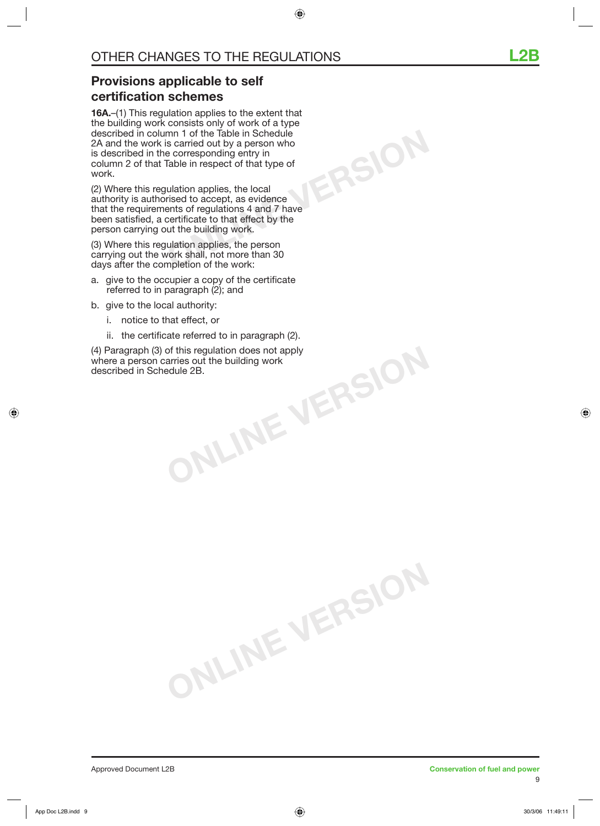**ONLINE VERSION**

## **Provisions applicable to self certification schemes**

**16A.**–(1) This regulation applies to the extent that the building work consists only of work of a type described in column 1 of the Table in Schedule 2A and the work is carried out by a person who is described in the corresponding entry in column 2 of that Table in respect of that type of work.

(2) Where this regulation applies, the local authority is authorised to accept, as evidence that the requirements of regulations 4 and 7 have been satisfied, a certificate to that effect by the person carrying out the building work.

(3) Where this regulation applies, the person carrying out the work shall, not more than 30 days after the completion of the work:

- a. give to the occupier a copy of the certificate referred to in paragraph (2); and
- b. give to the local authority:
	- i. notice to that effect, or
	- ii. the certificate referred to in paragraph (2).

**ONLINE VERSION**

**ONLINE VERSION** (4) Paragraph (3) of this regulation does not apply where a person carries out the building work described in Schedule 2B.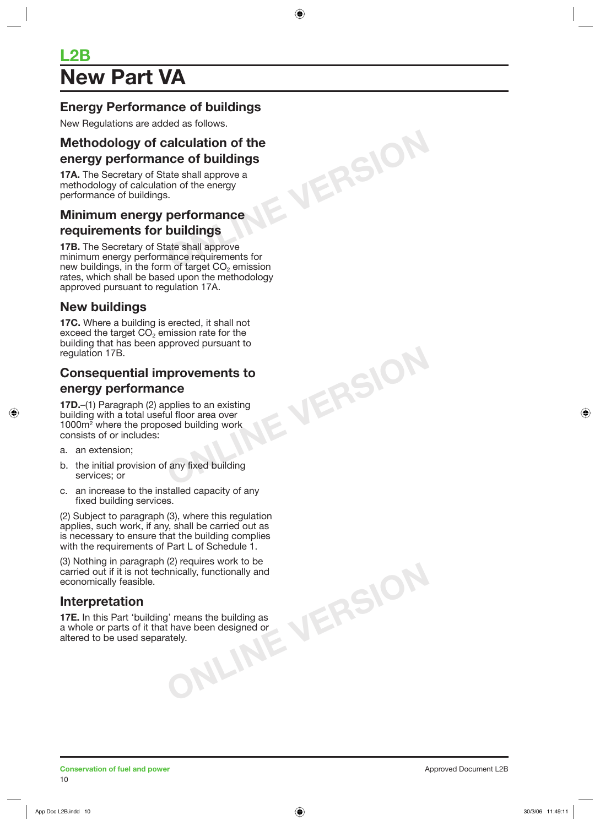## **L2B New Part VA**

## **Energy Performance of buildings**

New Regulations are added as follows.

# **ONLINE VERSION Methodology of calculation of the energy performance of buildings**

**17A.** The Secretary of State shall approve a methodology of calculation of the energy performance of buildings.

### **Minimum energy performance requirements for buildings**

**17B.** The Secretary of State shall approve minimum energy performance requirements for new buildings, in the form of target  $CO<sub>2</sub>$  emission rates, which shall be based upon the methodology approved pursuant to regulation 17A.

## **New buildings**

**17C.** Where a building is erected, it shall not exceed the target  $CO<sub>2</sub>$  emission rate for the building that has been approved pursuant to regulation 17B.

## **Consequential improvements to energy performance**

**ONLINE VERSION**

**17D.**–(1) Paragraph (2) applies to an existing building with a total useful floor area over 1000m2 where the proposed building work consists of or includes:

- a. an extension;
- b. the initial provision of any fixed building services; or
- c. an increase to the installed capacity of any fixed building services.

(2) Subject to paragraph (3), where this regulation applies, such work, if any, shall be carried out as is necessary to ensure that the building complies with the requirements of Part L of Schedule 1.

means the building as<br>value been designed or<br>ely. (3) Nothing in paragraph (2) requires work to be carried out if it is not technically, functionally and economically feasible.

## **Interpretation**

**17E.** In this Part 'building' means the building as a whole or parts of it that have been designed or altered to be used separately.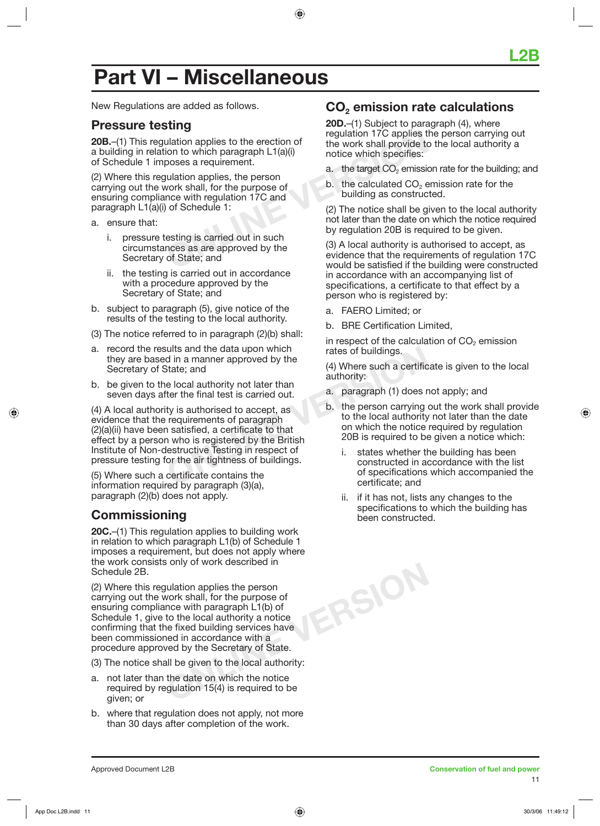## **Part VI – Miscellaneous**

New Regulations are added as follows.

### **Pressure testing**

**20B.**–(1) This regulation applies to the erection of a building in relation to which paragraph L1(a)(i) of Schedule 1 imposes a requirement.

**CONFIDENTIFY AND THE CONFIDENTIFY SET ASSESS**<br>
Unation applies to the erection of the work shall provide to<br>
notice which specifies:<br>
Unation applies, the person<br>
vork shall, for the purpose of<br>
notice with regulation 17C (2) Where this regulation applies, the person carrying out the work shall, for the purpose of ensuring compliance with regulation 17C and paragraph L1(a)(i) of Schedule 1:

- a. ensure that:
	- i. pressure testing is carried out in such circumstances as are approved by the Secretary of State; and
	- ii. the testing is carried out in accordance with a procedure approved by the Secretary of State; and
- b. subject to paragraph (5), give notice of the results of the testing to the local authority.
- (3) The notice referred to in paragraph (2)(b) shall:
- a. record the results and the data upon which they are based in a manner approved by the Secretary of State; and
- b. be given to the local authority not later than seven days after the final test is carried out.

Fig. 12003<br>
State; and the data upon which that the state of buildings.<br>
State; and (4) Where such a certific<br>
e local authority not later than<br>
ter the final test is carried out.<br>
ty is authorised to accept, as<br>
requireme (4) A local authority is authorised to accept, as evidence that the requirements of paragraph (2)(a)(ii) have been satisfied, a certificate to that effect by a person who is registered by the British Institute of Non-destructive Testing in respect of pressure testing for the air tightness of buildings.

(5) Where such a certificate contains the information required by paragraph (3)(a), paragraph (2)(b) does not apply.

## **Commissioning**

**20C.**–(1) This regulation applies to building work in relation to which paragraph L1(b) of Schedule 1 imposes a requirement, but does not apply where the work consists only of work described in Schedule 2B.

(2) Where this regulation applies the person carrying out the work shall, for the purpose of ensuring compliance with paragraph L1(b) of Schedule 1, give to the local authority a notice confirming that the fixed building services have been commissioned in accordance with a procedure approved by the Secretary of State.

(3) The notice shall be given to the local authority:

- a. not later than the date on which the notice required by regulation 15(4) is required to be given; or
- b. where that regulation does not apply, not more than 30 days after completion of the work.

### **CO2 emission rate calculations**

**20D.**–(1) Subject to paragraph (4), where regulation 17C applies the person carrying out the work shall provide to the local authority a notice which specifies:

- a. the target  $CO<sub>2</sub>$  emission rate for the building; and
- $b$ . the calculated  $CO<sub>2</sub>$  emission rate for the building as constructed.

(2) The notice shall be given to the local authority not later than the date on which the notice required by regulation 20B is required to be given.

(3) A local authority is authorised to accept, as evidence that the requirements of regulation 17C would be satisfied if the building were constructed in accordance with an accompanying list of specifications, a certificate to that effect by a person who is registered by:

a. FAERO Limited; or

**ONLINE VERSION**

b. BRE Certification Limited,

in respect of the calculation of  $CO<sub>2</sub>$  emission rates of buildings.

(4) Where such a certificate is given to the local authority:

- a. paragraph (1) does not apply; and
- b. the person carrying out the work shall provide to the local authority not later than the date on which the notice required by regulation 20B is required to be given a notice which:
	- i. states whether the building has been constructed in accordance with the list of specifications which accompanied the certificate; and
	- ii. if it has not, lists any changes to the specifications to which the building has been constructed.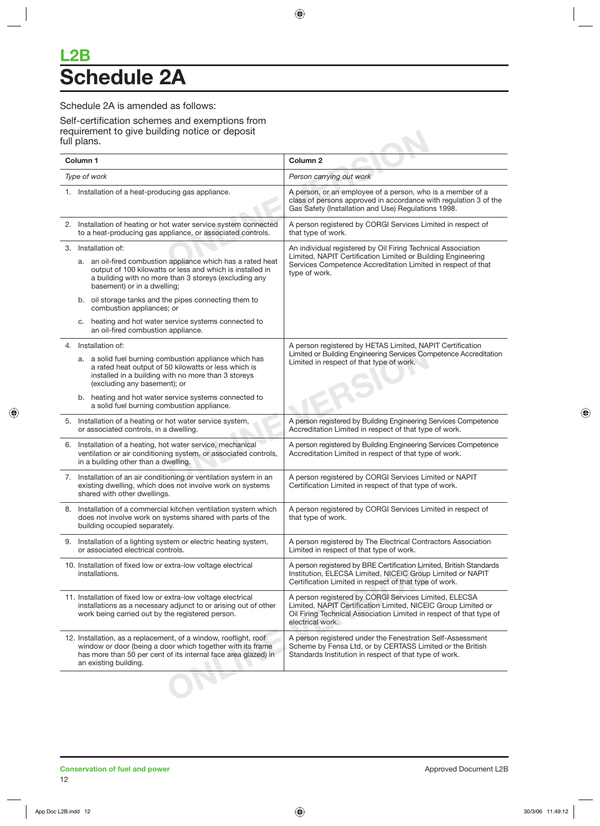## **L2B Schedule 2A**

#### Schedule 2A is amended as follows:

Self-certification schemes and exemptions from requirement to give building notice or deposit full plans.

| Column 1                                                                                                                                                                                                                                | Column <sub>2</sub>                                                                                                                                                                                               |
|-----------------------------------------------------------------------------------------------------------------------------------------------------------------------------------------------------------------------------------------|-------------------------------------------------------------------------------------------------------------------------------------------------------------------------------------------------------------------|
| Type of work                                                                                                                                                                                                                            | Person carrying out work                                                                                                                                                                                          |
| 1. Installation of a heat-producing gas appliance.                                                                                                                                                                                      | A person, or an employee of a person, who is a member of a<br>class of persons approved in accordance with regulation 3 of the<br>Gas Safety (Installation and Use) Regulations 1998.                             |
| 2. Installation of heating or hot water service system connected<br>to a heat-producing gas appliance, or associated controls.                                                                                                          | A person registered by CORGI Services Limited in respect of<br>that type of work.                                                                                                                                 |
| 3. Installation of:<br>a. an oil-fired combustion appliance which has a rated heat<br>output of 100 kilowatts or less and which is installed in<br>a building with no more than 3 storeys (excluding any<br>basement) or in a dwelling; | An individual registered by Oil Firing Technical Association<br>Limited, NAPIT Certification Limited or Building Engineering<br>Services Competence Accreditation Limited in respect of that<br>type of work.     |
| b. oil storage tanks and the pipes connecting them to<br>combustion appliances; or                                                                                                                                                      |                                                                                                                                                                                                                   |
| heating and hot water service systems connected to<br>C.<br>an oil-fired combustion appliance.                                                                                                                                          |                                                                                                                                                                                                                   |
| 4. Installation of:<br>a. a solid fuel burning combustion appliance which has<br>a rated heat output of 50 kilowatts or less which is<br>installed in a building with no more than 3 storeys<br>(excluding any basement); or            | A person registered by HETAS Limited, NAPIT Certification<br>Limited or Building Engineering Services Competence Accreditation<br>Limited in respect of that type of work.                                        |
| b. heating and hot water service systems connected to<br>a solid fuel burning combustion appliance.                                                                                                                                     |                                                                                                                                                                                                                   |
| 5. Installation of a heating or hot water service system,<br>or associated controls, in a dwelling.                                                                                                                                     | A person registered by Building Engineering Services Competence<br>Accreditation Limited in respect of that type of work.                                                                                         |
| 6. Installation of a heating, hot water service, mechanical<br>ventilation or air conditioning system, or associated controls,<br>in a building other than a dwelling.                                                                  | A person registered by Building Engineering Services Competence<br>Accreditation Limited in respect of that type of work.                                                                                         |
| 7. Installation of an air conditioning or ventilation system in an<br>existing dwelling, which does not involve work on systems<br>shared with other dwellings.                                                                         | A person registered by CORGI Services Limited or NAPIT<br>Certification Limited in respect of that type of work.                                                                                                  |
| 8. Installation of a commercial kitchen ventilation system which<br>does not involve work on systems shared with parts of the<br>building occupied separately.                                                                          | A person registered by CORGI Services Limited in respect of<br>that type of work.                                                                                                                                 |
| Installation of a lighting system or electric heating system,<br>or associated electrical controls.                                                                                                                                     | A person registered by The Electrical Contractors Association<br>Limited in respect of that type of work.                                                                                                         |
| 10. Installation of fixed low or extra-low voltage electrical<br>installations.                                                                                                                                                         | A person registered by BRE Certification Limited, British Standards<br>Institution, ELECSA Limited, NICEIC Group Limited or NAPIT<br>Certification Limited in respect of that type of work.                       |
| 11. Installation of fixed low or extra-low voltage electrical<br>installations as a necessary adjunct to or arising out of other<br>work being carried out by the registered person.                                                    | A person registered by CORGI Services Limited, ELECSA<br>Limited, NAPIT Certification Limited, NICEIC Group Limited or<br>Oil Firing Technical Association Limited in respect of that type of<br>electrical work. |
| 12. Installation, as a replacement, of a window, rooflight, roof<br>window or door (being a door which together with its frame<br>has more than 50 per cent of its internal face area glazed) in<br>an existing building.               | A person registered under the Fenestration Self-Assessment<br>Scheme by Fensa Ltd, or by CERTASS Limited or the British<br>Standards Institution in respect of that type of work.                                 |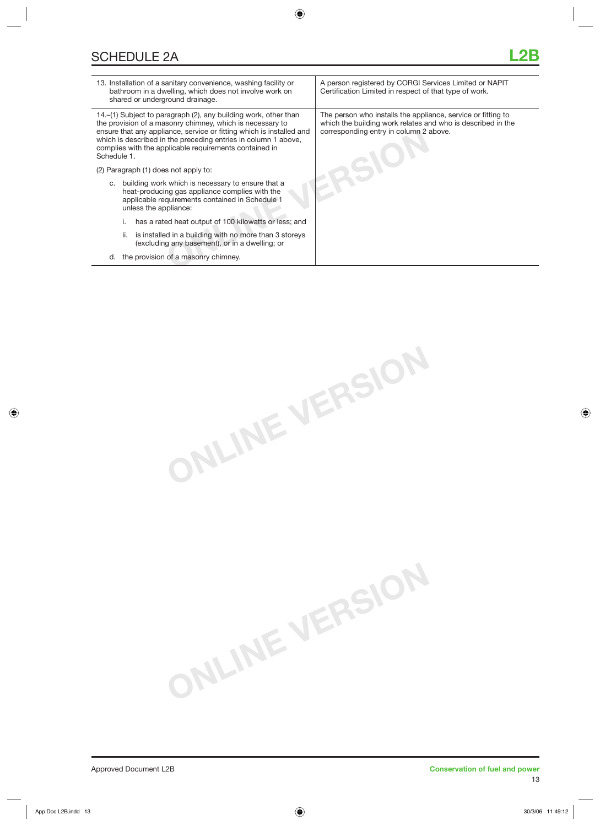| 13. Installation of a sanitary convenience, washing facility or<br>bathroom in a dwelling, which does not involve work on<br>shared or underground drainage.                                                                                                                                                                                    | A person registered by CORGI Services Limited or NAPIT<br>Certification Limited in respect of that type of work.                                                      |
|-------------------------------------------------------------------------------------------------------------------------------------------------------------------------------------------------------------------------------------------------------------------------------------------------------------------------------------------------|-----------------------------------------------------------------------------------------------------------------------------------------------------------------------|
| 14.–(1) Subject to paragraph (2), any building work, other than<br>the provision of a masonry chimney, which is necessary to<br>ensure that any appliance, service or fitting which is installed and<br>which is described in the preceding entries in column 1 above,<br>complies with the applicable requirements contained in<br>Schedule 1. | The person who installs the appliance, service or fitting to<br>which the building work relates and who is described in the<br>corresponding entry in column 2 above. |
| (2) Paragraph (1) does not apply to:                                                                                                                                                                                                                                                                                                            |                                                                                                                                                                       |
| building work which is necessary to ensure that a<br>C.<br>heat-producing gas appliance complies with the<br>applicable requirements contained in Schedule 1<br>unless the appliance:                                                                                                                                                           |                                                                                                                                                                       |
| has a rated heat output of 100 kilowatts or less; and                                                                                                                                                                                                                                                                                           |                                                                                                                                                                       |
| is installed in a building with no more than 3 storeys<br>ii.<br>(excluding any basement), or in a dwelling; or                                                                                                                                                                                                                                 |                                                                                                                                                                       |
| the provision of a masonry chimney.<br>d.                                                                                                                                                                                                                                                                                                       |                                                                                                                                                                       |
|                                                                                                                                                                                                                                                                                                                                                 |                                                                                                                                                                       |

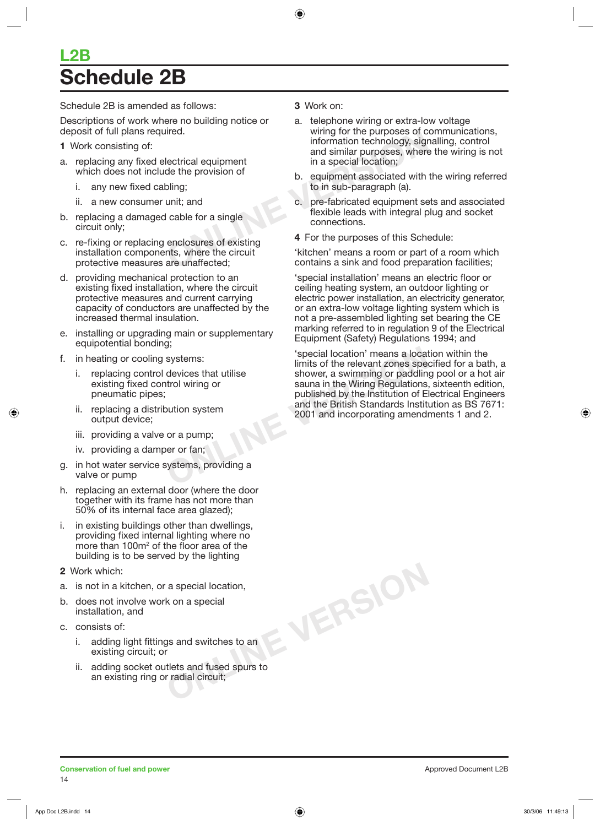## **L2B Schedule 2B**

Schedule 2B is amended as follows:

Descriptions of work where no building notice or deposit of full plans required.

- **1** Work consisting of:
- a. replacing any fixed electrical equipment which does not include the provision of
	- i. any new fixed cabling;
	- ii. a new consumer unit; and
- b. replacing a damaged cable for a single circuit only;
- c. re-fixing or replacing enclosures of existing installation components, where the circuit protective measures are unaffected;
- d. providing mechanical protection to an existing fixed installation, where the circuit protective measures and current carrying capacity of conductors are unaffected by the increased thermal insulation.
- e. installing or upgrading main or supplementary equipotential bonding;
- f. in heating or cooling systems:
	- i. replacing control devices that utilise existing fixed control wiring or pneumatic pipes;
	- ii. replacing a distribution system output device;
	- iii. providing a valve or a pump;
	- iv. providing a damper or fan;
- g. in hot water service systems, providing a valve or pump
- h. replacing an external door (where the door together with its frame has not more than 50% of its internal face area glazed);
- i. in existing buildings other than dwellings, providing fixed internal lighting where no more than 100m<sup>2</sup> of the floor area of the building is to be served by the lighting
- **2** Work which:
- a. is not in a kitchen, or a special location,
- b. does not involve work on a special installation, and
- c. consists of:
	- i. adding light fittings and switches to an existing circuit; or
	- ii. adding socket outlets and fused spurs to an existing ring or radial circuit;

#### **3** Work on:

- Frequency of the purposes of contains a special location;<br>
lectrical equipment<br>
de the provision of<br>
oling;<br>
the provision of<br>
one special location;<br>
b. equipment associated with<br>
to in sub-paragraph (a).<br>
unit; and<br>
conne a. telephone wiring or extra-low voltage wiring for the purposes of communications, information technology, signalling, control and similar purposes, where the wiring is not in a special location;
	- b. equipment associated with the wiring referred to in sub-paragraph (a).
	- c. pre-fabricated equipment sets and associated flexible leads with integral plug and socket connections.
	- **4** For the purposes of this Schedule:

'kitchen' means a room or part of a room which contains a sink and food preparation facilities;

'special installation' means an electric floor or ceiling heating system, an outdoor lighting or electric power installation, an electricity generator, or an extra-low voltage lighting system which is not a pre-assembled lighting set bearing the CE marking referred to in regulation 9 of the Electrical Equipment (Safety) Regulations 1994; and

Systems:<br>
Systems:<br>
devices that utilise<br>
devices that utilise<br>
shower, a swimming or paddlin<br>
sauna in the Wiring Regulations<br>
published by the Institution of E<br>
and the British Standards Institution<br>
or a pump;<br>
or a pum 'special location' means a location within the limits of the relevant zones specified for a bath, a shower, a swimming or paddling pool or a hot air sauna in the Wiring Regulations, sixteenth edition, published by the Institution of Electrical Engineers and the British Standards Institution as BS 7671: 2001 and incorporating amendments 1 and 2.

**ONLINE VERSION**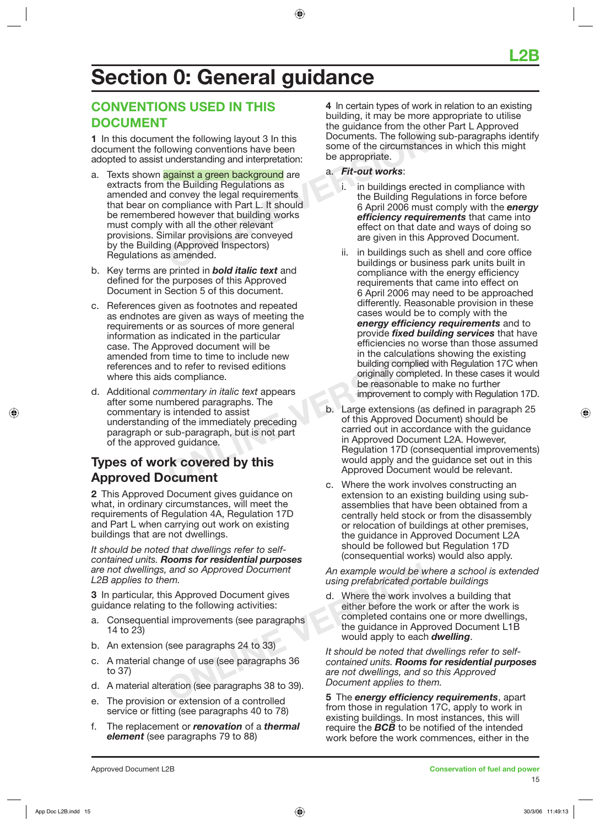## **Section 0: General guidance**

## **CONVENTIONS USED IN THIS DOCUMENT**

**1** In this document the following layout 3 In this document the following conventions have been adopted to assist understanding and interpretation:

- The following conventions have been<br>
understanding and interpretation:<br> **Solution** some of the circumstand<br>
understanding and interpretation:<br> **Solutions a**<br>
the Building Regulations as<br>
<br>
some of the circumstand<br>
be appro a. Texts shown against a green background are extracts from the Building Regulations as amended and convey the legal requirements that bear on compliance with Part L. It should be remembered however that building works must comply with all the other relevant provisions. Similar provisions are conveyed by the Building (Approved Inspectors) Regulations as amended.
- b. Key terms are printed in *bold italic text* and defined for the purposes of this Approved Document in Section 5 of this document.
- c. References given as footnotes and repeated as endnotes are given as ways of meeting the requirements or as sources of more general information as indicated in the particular case. The Approved document will be amended from time to time to include new references and to refer to revised editions where this aids compliance.
- Droved document will be<br>
in the calculation<br>
of the refer to revised editions<br>
Sumpliance.<br>
Sumpliance.<br>
The sime of paragraphs. The<br>
sime of the immediately preceding<br>
sub-paragraph, but is not part<br>
ed guidance.<br> **COVETE** d. Additional *commentary in italic text* appears after some numbered paragraphs. The commentary is intended to assist understanding of the immediately preceding paragraph or sub-paragraph, but is not part of the approved guidance.

## **Types of work covered by this Approved Document**

**2** This Approved Document gives guidance on what, in ordinary circumstances, will meet the requirements of Regulation 4A, Regulation 17D and Part L when carrying out work on existing buildings that are not dwellings.

*It should be noted that dwellings refer to selfcontained units. Rooms for residential purposes are not dwellings, and so Approved Document L2B applies to them.*

**3** In particular, this Approved Document gives guidance relating to the following activities:

- a. Consequential improvements (see paragraphs 14 to 23)
- b. An extension (see paragraphs 24 to 33)
- c. A material change of use (see paragraphs 36 to 37)
- d. A material alteration (see paragraphs 38 to 39).
- e. The provision or extension of a controlled service or fitting (see paragraphs 40 to 78)
- f. The replacement or *renovation* of a *thermal element* (see paragraphs 79 to 88)

**4** In certain types of work in relation to an existing building, it may be more appropriate to utilise the guidance from the other Part L Approved Documents. The following sub-paragraphs identify some of the circumstances in which this might be appropriate.

- a. *Fit-out works*:
	- i. in buildings erected in compliance with the Building Regulations in force before 6 April 2006 must comply with the *energy efficiency requirements* that came into effect on that date and ways of doing so are given in this Approved Document.
	- ii. in buildings such as shell and core office buildings or business park units built in compliance with the energy efficiency requirements that came into effect on 6 April 2006 may need to be approached differently. Reasonable provision in these cases would be to comply with the *energy efficiency requirements* and to provide *fixed building services* that have efficiencies no worse than those assumed in the calculations showing the existing building complied with Regulation 17C when originally completed. In these cases it would be reasonable to make no further improvement to comply with Regulation 17D.
- b. Large extensions (as defined in paragraph 25 of this Approved Document) should be carried out in accordance with the guidance in Approved Document L2A. However, Regulation 17D (consequential improvements) would apply and the guidance set out in this Approved Document would be relevant.
- c. Where the work involves constructing an extension to an existing building using subassemblies that have been obtained from a centrally held stock or from the disassembly or relocation of buildings at other premises, the guidance in Approved Document L2A should be followed but Regulation 17D (consequential works) would also apply.

*An example would be where a school is extended using prefabricated portable buildings*

and so Approved Document<br>
em.<br>
Solution of a controlled<br>
Comment states of the following activities:<br>
<br> **ONLINE An example would be we**<br>
the work involution of a controlled<br>
Solution (see paragraphs 38 to 39).<br>
Contained u d. Where the work involves a building that either before the work or after the work is completed contains one or more dwellings, the guidance in Approved Document L1B would apply to each *dwelling*.

*It should be noted that dwellings refer to selfcontained units. Rooms for residential purposes are not dwellings, and so this Approved Document applies to them.*

**5** The *energy efficiency requirements*, apart from those in regulation 17C, apply to work in existing buildings. In most instances, this will require the *BCB* to be notified of the intended work before the work commences, either in the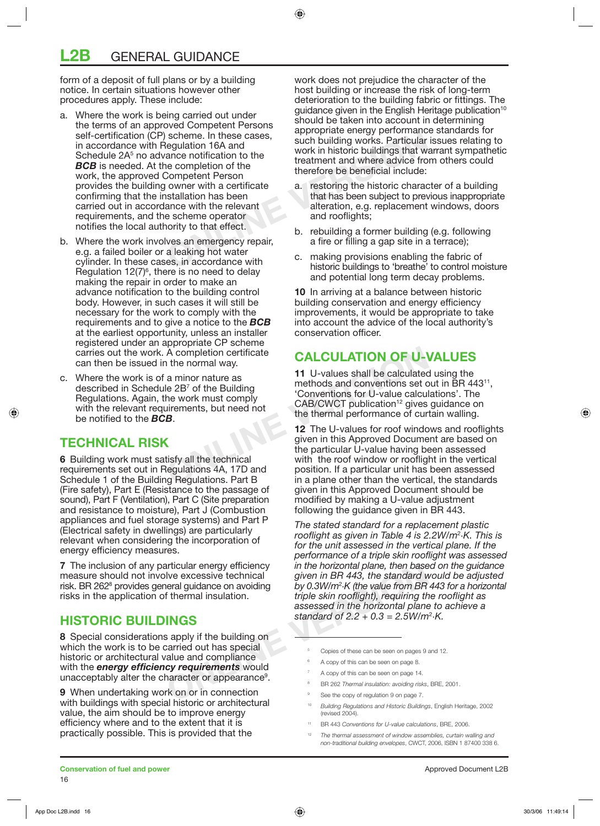form of a deposit of full plans or by a building notice. In certain situations however other procedures apply. These include:

- Scheme. In these cases,<br>
Segulation 16A and<br>
ance notification to the<br>
integral and the completion of the<br>
competent Person<br>
owner with a certificate<br>
stallation has been<br>
a. The method where advice from the state of the t a. Where the work is being carried out under the terms of an approved Competent Persons self-certification (CP) scheme. In these cases, in accordance with Regulation 16A and Schedule 2A<sup>5</sup> no advance notification to the **BCB** is needed. At the completion of the work, the approved Competent Person provides the building owner with a certificate confirming that the installation has been carried out in accordance with the relevant requirements, and the scheme operator notifies the local authority to that effect.
- b. Where the work involves an emergency repair, e.g. a failed boiler or a leaking hot water cylinder. In these cases, in accordance with Regulation  $12(7)^6$ , there is no need to delay making the repair in order to make an advance notification to the building control body. However, in such cases it will still be necessary for the work to comply with the requirements and to give a notice to the *BCB* at the earliest opportunity, unless an installer registered under an appropriate CP scheme carries out the work. A completion certificate can then be issued in the normal way.
- c. Where the work is of a minor nature as described in Schedule 2B<sup>7</sup> of the Building Regulations. Again, the work must comply with the relevant requirements, but need not be notified to the *BCB*.

## **TECHNICAL RISK**

**6** Building work must satisfy all the technical requirements set out in Regulations 4A, 17D and Schedule 1 of the Building Regulations. Part B (Fire safety), Part E (Resistance to the passage of sound), Part F (Ventilation), Part C (Site preparation and resistance to moisture), Part J (Combustion appliances and fuel storage systems) and Part P (Electrical safety in dwellings) are particularly relevant when considering the incorporation of energy efficiency measures.

**7** The inclusion of any particular energy efficiency measure should not involve excessive technical risk. BR 2628 provides general guidance on avoiding risks in the application of thermal insulation.

## **HISTORIC BUILDINGS**

**8** Special considerations apply if the building on which the work is to be carried out has special historic or architectural value and compliance with the *energy efficiency requirements* would unacceptably alter the character or appearance<sup>9</sup>.

**9** When undertaking work on or in connection with buildings with special historic or architectural value, the aim should be to improve energy efficiency where and to the extent that it is practically possible. This is provided that the

work does not prejudice the character of the host building or increase the risk of long-term deterioration to the building fabric or fittings. The guidance given in the English Heritage publication<sup>10</sup> should be taken into account in determining appropriate energy performance standards for such building works. Particular issues relating to work in historic buildings that warrant sympathetic treatment and where advice from others could therefore be beneficial include:

- a. restoring the historic character of a building that has been subject to previous inappropriate alteration, e.g. replacement windows, doors and rooflights;
- b. rebuilding a former building (e.g. following a fire or filling a gap site in a terrace);
- c. making provisions enabling the fabric of historic buildings to 'breathe' to control moisture and potential long term decay problems.

**10** In arriving at a balance between historic building conservation and energy efficiency improvements, it would be appropriate to take into account the advice of the local authority's conservation officer.

## **CALCULATION OF U-VALUES**

**11** U-values shall be calculated using the methods and conventions set out in BR 443<sup>11</sup>, 'Conventions for U-value calculations'. The CAB/CWCT publication<sup>12</sup> gives guidance on the thermal performance of curtain walling.

A completion certificate<br>
a minor nature as<br>
le 2B<sup>7</sup> of the Building<br>
the work must comply<br>
intensity, but need not<br> **CALCULATION OF U-1**<br>
<sup>11</sup> U-values shall be calculated<br>
methods and conventions set complication<sup>12</sup> gi **12** The U-values for roof windows and rooflights given in this Approved Document are based on the particular U-value having been assessed with the roof window or rooflight in the vertical position. If a particular unit has been assessed in a plane other than the vertical, the standards given in this Approved Document should be modified by making a U-value adjustment following the guidance given in BR 443.

and the mergy efficiency<br>
in the horizontal plane, then base<br>
live excessive technical<br>
oral given in BR 443, the standard wider<br>
oral given in BR 443, the standard of<br>
f thermal insulation.<br> **INGS**<br>
Same in the horizontal *The stated standard for a replacement plastic rooflight as given in Table 4 is 2.2W/m*<sup>2</sup> *·K. This is for the unit assessed in the vertical plane. If the performance of a triple skin rooflight was assessed in the horizontal plane, then based on the guidance given in BR 443, the standard would be adjusted by 0.3W/m*<sup>2</sup> *·K (the value from BR 443 for a horizontal triple skin rooflight), requiring the rooflight as assessed in the horizontal plane to achieve a standard of 2.2 + 0.3 = 2.5W/m*<sup>2</sup> *·K.*

- Copies of these can be seen on pages 9 and 12.
- 6 A copy of this can be seen on page 8.
- 7 A copy of this can be seen on page 14.
- 8 BR 262 *Thermal insulation: avoiding risks*, BRE, 2001.
- 9 See the copy of regulation 9 on page 7.
- 10 *Building Regulations and Historic Buildings*, English Heritage, 2002 (revised 2004).
- 11 BR 443 *Conventions for U-value calculations*, BRE, 2006.
- 12 *The thermal assessment of window assemblies, curtain walling and non-traditional building envelopes*, CWCT, 2006, ISBN 1 87400 338 6.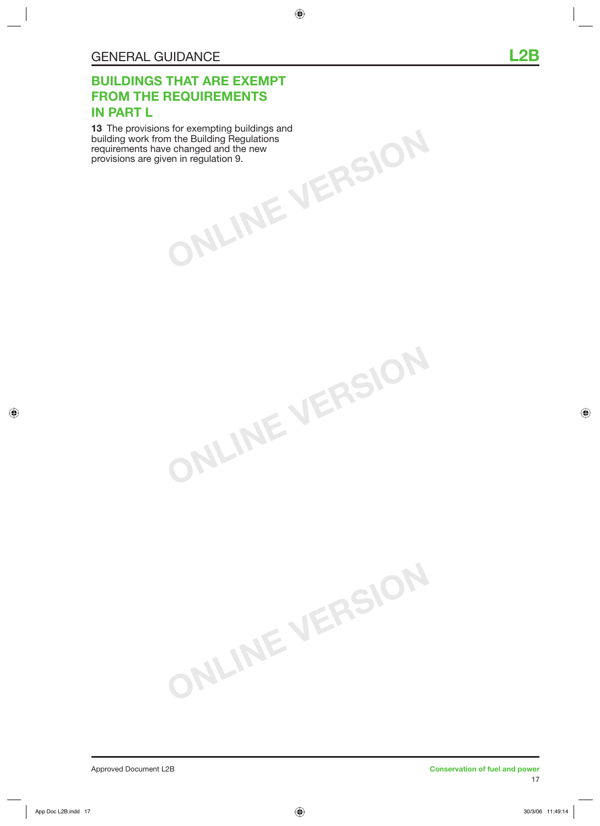## **BUILDINGS THAT ARE EXEMPT FROM THE REQUIREMENTS IN PART L**

**ONLINE VERSION 13** The provisions for exempting buildings and building work from the Building Regulations requirements have changed and the new provisions are given in regulation 9.

**ONLINE VERSION**

**ONLINE VERSION**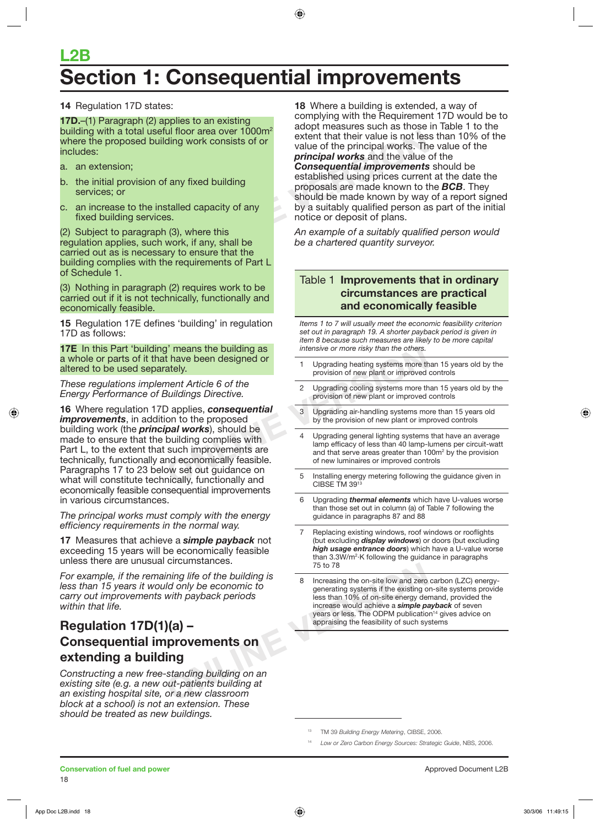## **L2B Section 1: Consequential improvements**

**14** Regulation 17D states:

**17D.**–(1) Paragraph (2) applies to an existing building with a total useful floor area over  $1000m^2$ where the proposed building work consists of or includes:

- a. an extension;
- b. the initial provision of any fixed building services; or
- c. an increase to the installed capacity of any fixed building services.

(2) Subject to paragraph (3), where this regulation applies, such work, if any, shall be carried out as is necessary to ensure that the building complies with the requirements of Part L of Schedule 1.

(3) Nothing in paragraph (2) requires work to be carried out if it is not technically, functionally and economically feasible.

**15** Regulation 17E defines 'building' in regulation 17D as follows:

**17E** In this Part 'building' means the building as a whole or parts of it that have been designed or altered to be used separately.

*These regulations implement Article 6 of the Energy Performance of Buildings Directive.*

**FRED SET THE SET THE SPECT THE SPECT ASSET THREN'S CIRSE THISPST THREN'S CIRSE THISPST THISPST THISPST THISPST THISPST THISPST THISPST THISPST THISPST THISPST THISPST THISPST THISPST THISPST THISPST THISPST THISPST THISPS 16** Where regulation 17D applies, *consequential improvements*, in addition to the proposed building work (the *principal works*), should be made to ensure that the building complies with Part L, to the extent that such improvements are technically, functionally and economically feasible. Paragraphs 17 to 23 below set out guidance on what will constitute technically, functionally and economically feasible consequential improvements in various circumstances.

*The principal works must comply with the energy efficiency requirements in the normal way.*

**17** Measures that achieve a *simple payback* not exceeding 15 years will be economically feasible unless there are unusual circumstances.

*For example, if the remaining life of the building is less than 15 years it would only be economic to carry out improvements with payback periods within that life.*

## **Regulation 17D(1)(a) – Consequential improvements on extending a building**

*Constructing a new free-standing building on an existing site (e.g. a new out-patients building at an existing hospital site, or a new classroom block at a school) is not an extension. These should be treated as new buildings.*

UI Tioor area over 1000m<sup>2</sup> extent that their value is not les<br>
value of the principal works. The<br> **Onsequential improvements**<br>
f any fixed building<br>
f any fixed building<br> **Consequential improvements**<br>
established using pr **18** Where a building is extended, a way of complying with the Requirement 17D would be to adopt measures such as those in Table 1 to the extent that their value is not less than 10% of the value of the principal works. The value of the *principal works* and the value of the *Consequential improvements* should be established using prices current at the date the proposals are made known to the *BCB*. They should be made known by way of a report signed by a suitably qualified person as part of the initial notice or deposit of plans.

*An example of a suitably qualified person would be a chartered quantity surveyor.*

#### Table 1 **Improvements that in ordinary circumstances are practical and economically feasible**

*Items 1 to 7 will usually meet the economic feasibility criterion set out in paragraph 19. A shorter payback period is given in item 8 because such measures are likely to be more capital intensive or more risky than the others.*

- 1 Upgrading heating systems more than 15 years old by the provision of new plant or improved controls
- 2 Upgrading cooling systems more than 15 years old by the provision of new plant or improved controls
- 3 Upgrading air-handling systems more than 15 years old by the provision of new plant or improved controls
- 4 Upgrading general lighting systems that have an average lamp efficacy of less than 40 lamp-lumens per circuit-watt and that serve areas greater than 100m<sup>2</sup> by the provision of new luminaires or improved controls
- 5 Installing energy metering following the guidance given in CIBSE TM  $39<sup>1</sup>$
- 6 Upgrading *thermal elements* which have U-values worse than those set out in column (a) of Table 7 following the guidance in paragraphs 87 and 88
- Replacing existing windows, roof windows or rooflights (but excluding *display windows*) or doors (but excluding *high usage entrance doors*) which have a U-value worse than 3.3W/m<sup>2</sup>·K following the guidance in paragraphs 75 to 78
- Concurristances.<br>
Valid only be economic to<br>
With payback periods<br>
With payback periods<br>
With payback periods<br>
With payback periods<br>
With payback periods<br>
Success than 10% of on-site energy derived increase would achieve a Increasing the on-site low and zero carbon (LZC) energygenerating systems if the existing on-site systems provide less than 10% of on-site energy demand, provided the increase would achieve a *simple payback* of seven years or less. The ODPM publication<sup>14</sup> gives advice on appraising the feasibility of such systems

13 TM 39 *Building Energy Metering*, CIBSE, 2006.

<sup>14</sup>*Low or Zero Carbon Energy Sources: Strategic Guide*, NBS, 2006.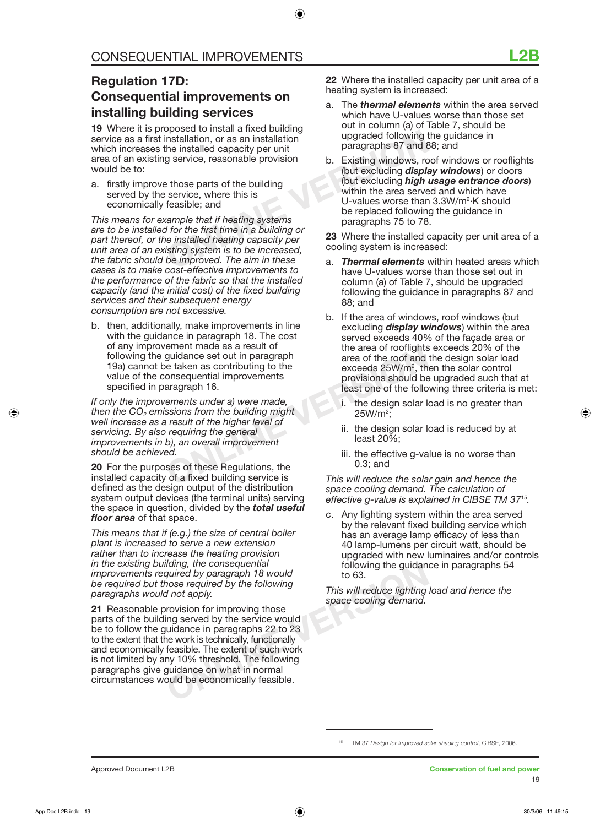### **Regulation 17D: Consequential improvements on installing building services**

**19** Where it is proposed to install a fixed building service as a first installation, or as an installation which increases the installed capacity per unit area of an existing service, reasonable provision would be to:

a. firstly improve those parts of the building served by the service, where this is economically feasible; and

be installation, or as an installation<br>
the installed capacity per unit<br>
g service, reasonable provision<br>
those parts of the building<br>
service, where this is<br>
those parts of the building<br>
service, where this is<br>
the sectio *This means for example that if heating systems are to be installed for the first time in a building or part thereof, or the installed heating capacity per unit area of an existing system is to be increased, the fabric should be improved. The aim in these cases is to make cost-effective improvements to the performance of the fabric so that the installed capacity (and the initial cost) of the fixed building services and their subsequent energy consumption are not excessive.* 

b. then, additionally, make improvements in line with the guidance in paragraph 18. The cost of any improvement made as a result of following the guidance set out in paragraph 19a) cannot be taken as contributing to the value of the consequential improvements specified in paragraph 16.

Einent made as a result of the paragraph<br>
e taken as contributing to the<br>
onsequential improvements<br>
area of the roof and<br>
exceeds 25W/m<sup>2</sup>, th<br>
provisions should be<br>
least one of the follo<br>
ements under a) were made,<br>
sin *If only the improvements under a) were made, then the CO2 emissions from the building might well increase as a result of the higher level of servicing. By also requiring the general improvements in b), an overall improvement should be achieved.*

**20** For the purposes of these Regulations, the installed capacity of a fixed building service is defined as the design output of the distribution system output devices (the terminal units) serving the space in question, divided by the *total useful floor area* of that space.

*This means that if (e.g.) the size of central boiler plant is increased to serve a new extension rather than to increase the heating provision in the existing building, the consequential improvements required by paragraph 18 would be required but those required by the following paragraphs would not apply.* 

Identity, the consequential tollowing the guidan<br>
quired by paragraph 18 would<br>
nose required by the following<br>
1 not apply.<br>
This will reduce lighting<br>
space cooling demand.<br>
rovision for improving those<br>
ing served by th **21** Reasonable provision for improving those parts of the building served by the service would be to follow the guidance in paragraphs 22 to 23 to the extent that the work is technically, functionally and economically feasible. The extent of such work is not limited by any 10% threshold. The following paragraphs give guidance on what in normal circumstances would be economically feasible.

**22** Where the installed capacity per unit area of a heating system is increased:

- a. The *thermal elements* within the area served which have U-values worse than those set out in column (a) of Table 7, should be upgraded following the guidance in paragraphs 87 and 88; and
- b. Existing windows, roof windows or rooflights (but excluding *display windows*) or doors (but excluding *high usage entrance doors*) within the area served and which have U-values worse than 3.3W/m<sup>2</sup>·K should be replaced following the guidance in paragraphs 75 to 78.

**23** Where the installed capacity per unit area of a cooling system is increased:

- a. *Thermal elements* within heated areas which have U-values worse than those set out in column (a) of Table 7, should be upgraded following the guidance in paragraphs 87 and 88; and
- b. If the area of windows, roof windows (but excluding *display windows*) within the area served exceeds 40% of the façade area or the area of rooflights exceeds 20% of the area of the roof and the design solar load exceeds 25W/m<sup>2</sup>, then the solar control provisions should be upgraded such that at least one of the following three criteria is met:
	- i. the design solar load is no greater than 25W/m2 ;
	- ii. the design solar load is reduced by at least 20%;
	- iii. the effective g-value is no worse than 0.3; and

*This will reduce the solar gain and hence the space cooling demand. The calculation of effective g-value is explained in CIBSE TM 37*<sup>15</sup>*.*

c. Any lighting system within the area served by the relevant fixed building service which has an average lamp efficacy of less than 40 lamp-lumens per circuit watt, should be upgraded with new luminaires and/or controls following the guidance in paragraphs 54 to 63.

*This will reduce lighting load and hence the space cooling demand.*

<sup>15</sup> TM 37 *Design for improved solar shading control*, CIBSE, 2006.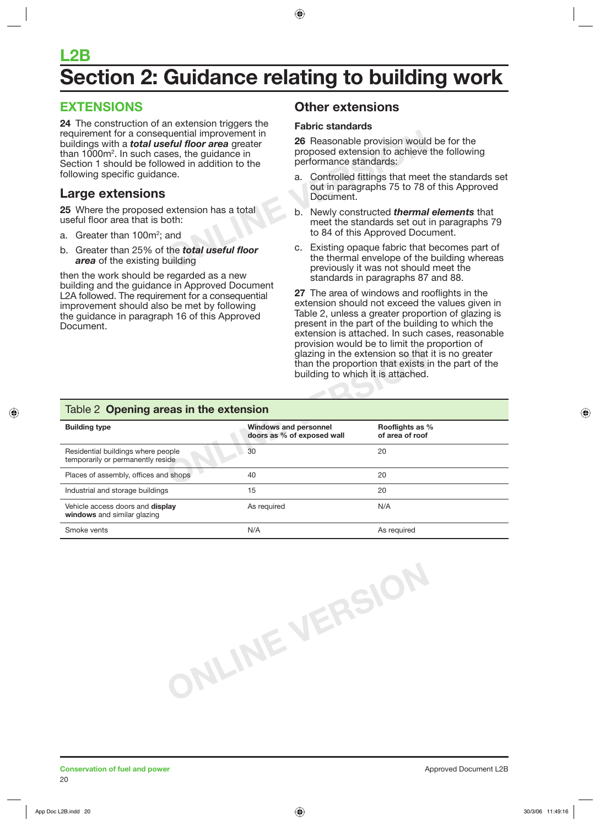## **L2B Section 2: Guidance relating to building work**

## **EXTENSIONS**

**Example 11 Internal improvement in**<br> **ONLINER SES, the guidance in**<br>
We din addition to the<br>
The performance standards:<br>
The performance standards:<br>
a. Controlled fittings that meet<br>
out in paragraphs 75 to 78<br>
Document.<br> **24** The construction of an extension triggers the requirement for a consequential improvement in buildings with a *total useful floor area* greater than 1000 $m^2$ . In such cases, the guidance in Section 1 should be followed in addition to the following specific guidance.

### **Large extensions**

**25** Where the proposed extension has a total useful floor area that is both:

- a. Greater than 100m<sup>2</sup>; and
- b. Greater than 25% of the *total useful floor area* of the existing building

then the work should be regarded as a new building and the guidance in Approved Document L2A followed. The requirement for a consequential improvement should also be met by following the guidance in paragraph 16 of this Approved Document.

## **Other extensions**

#### **Fabric standards**

**26** Reasonable provision would be for the proposed extension to achieve the following performance standards:

- a. Controlled fittings that meet the standards set out in paragraphs 75 to 78 of this Approved Document.
- b. Newly constructed *thermal elements* that meet the standards set out in paragraphs 79 to 84 of this Approved Document.
- c. Existing opaque fabric that becomes part of the thermal envelope of the building whereas previously it was not should meet the standards in paragraphs 87 and 88.

**27** The area of windows and rooflights in the extension should not exceed the values given in Table 2, unless a greater proportion of glazing is present in the part of the building to which the extension is attached. In such cases, reasonable provision would be to limit the proportion of glazing in the extension so that it is no greater than the proportion that exists in the part of the building to which it is attached.

|  |  | Table 2 Opening areas in the extension |
|--|--|----------------------------------------|
|  |  |                                        |

| glazing in the extension so that it is no greater<br>than the proportion that exists in the part of the<br>building to which it is attached. |                                                            |                                    |  |
|----------------------------------------------------------------------------------------------------------------------------------------------|------------------------------------------------------------|------------------------------------|--|
| Table 2 Opening areas in the extension                                                                                                       |                                                            |                                    |  |
| <b>Building type</b>                                                                                                                         | <b>Windows and personnel</b><br>doors as % of exposed wall | Rooflights as %<br>of area of roof |  |
| Residential buildings where people<br>temporarily or permanently reside                                                                      | 30                                                         | 20                                 |  |
| Places of assembly, offices and shops                                                                                                        | 40                                                         | 20                                 |  |
| Industrial and storage buildings                                                                                                             | 15                                                         | 20                                 |  |
| Vehicle access doors and <b>display</b><br>windows and similar glazing                                                                       | As required                                                | N/A                                |  |
| Smoke vents                                                                                                                                  | N/A                                                        | As required                        |  |

**ONLINE VERSION**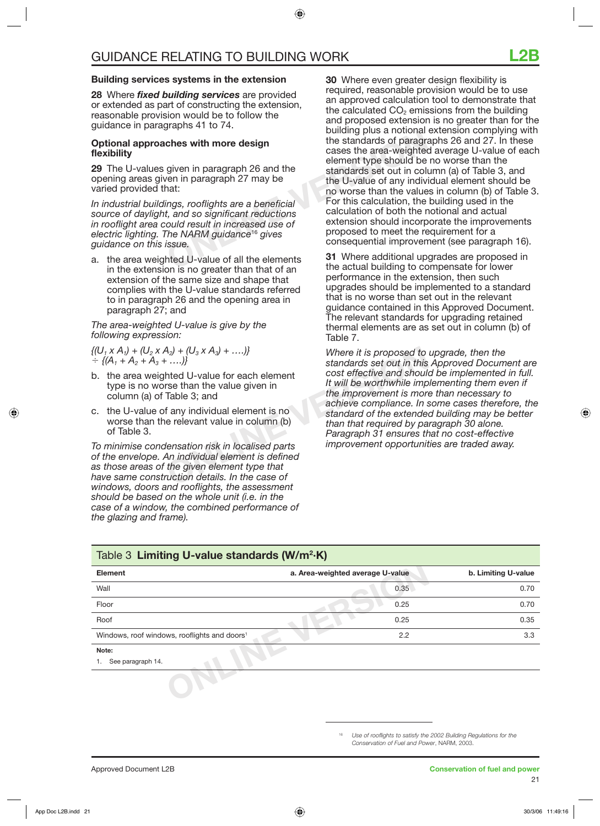#### **Building services systems in the extension**

**28** Where *fixed building services* are provided or extended as part of constructing the extension, reasonable provision would be to follow the guidance in paragraphs 41 to 74.

#### **Optional approaches with more design flexibility**

**29** The U-values given in paragraph 26 and the opening areas given in paragraph 27 may be varied provided that:

*In industrial buildings, rooflights are a beneficial source of daylight, and so significant reductions in rooflight area could result in increased use of electric lighting. The NARM guidance*<sup>16</sup> *gives guidance on this issue.*

a. the area weighted U-value of all the elements in the extension is no greater than that of an extension of the same size and shape that complies with the U-value standards referred to in paragraph 26 and the opening area in paragraph 27; and

#### *The area-weighted U-value is give by the following expression:*

 $\{ (U_1 \times A_1) + (U_2 \times A_2) + (U_3 \times A_3) + \ldots \}$  $\div$  {(A<sub>1</sub> + A<sub>2</sub> + A<sub>3</sub> + ….)}

- b. the area weighted U-value for each element type is no worse than the value given in column (a) of Table 3; and
- c. the U-value of any individual element is no worse than the relevant value in column (b) of Table 3.

*To minimise condensation risk in localised parts of the envelope. An individual element is defined as those areas of the given element type that have same construction details. In the case of windows, doors and rooflights, the assessment should be based on the whole unit (i.e. in the case of a window, the combined performance of the glazing and frame).*

building plus a notional<br>
ches with more design<br>
given in paragraph 26 and the<br>
the standards of paragraph<br>
element type should be<br>
standards set out in colu<br>
the U-value of any indivi-<br>
no worse than the value<br>
the U-valu **30** Where even greater design flexibility is required, reasonable provision would be to use an approved calculation tool to demonstrate that the calculated  $CO<sub>2</sub>$  emissions from the building and proposed extension is no greater than for the building plus a notional extension complying with the standards of paragraphs 26 and 27. In these cases the area-weighted average U-value of each element type should be no worse than the standards set out in column (a) of Table 3, and the U-value of any individual element should be no worse than the values in column (b) of Table 3. For this calculation, the building used in the calculation of both the notional and actual extension should incorporate the improvements proposed to meet the requirement for a consequential improvement (see paragraph 16).

**31** Where additional upgrades are proposed in the actual building to compensate for lower performance in the extension, then such upgrades should be implemented to a standard that is no worse than set out in the relevant guidance contained in this Approved Document. The relevant standards for upgrading retained thermal elements are as set out in column (b) of Table 7.

A<sub>2</sub>) +  $(U_3 \times A_3)$  + ....)}<br>
Where it is proposed to<br>
standards set out in this<br>
hted U-value for each element<br>
res than the value given in<br>
Table 3; and<br>
f any individual element is no<br>
f any individual element is no<br>
e *Where it is proposed to upgrade, then the standards set out in this Approved Document are cost effective and should be implemented in full. It will be worthwhile implementing them even if the improvement is more than necessary to achieve compliance. In some cases therefore, the standard of the extended building may be better than that required by paragraph 30 alone. Paragraph 31 ensures that no cost-effective improvement opportunities are traded away.*

| Table 3 Limiting U-value standards (W/m <sup>2</sup> ·K) |                                  |                     |  |
|----------------------------------------------------------|----------------------------------|---------------------|--|
| Element                                                  | a. Area-weighted average U-value | b. Limiting U-value |  |
| Wall                                                     | 0.35                             | 0.70                |  |
| Floor                                                    | 0.25                             | 0.70                |  |
| Roof                                                     | 0.25                             | 0.35                |  |
| Windows, roof windows, rooflights and doors <sup>1</sup> | 2.2                              | 3.3                 |  |
| Note:<br>See paragraph 14.                               |                                  |                     |  |
|                                                          |                                  |                     |  |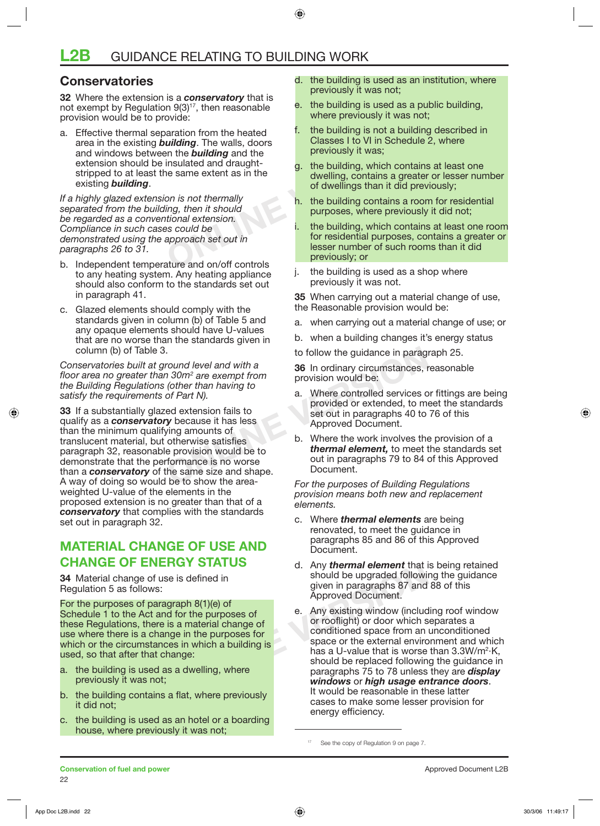### **Conservatories**

**32** Where the extension is a *conservatory* that is not exempt by Regulation  $9(3)^{17}$ , then reasonable provision would be to provide:

aration from the heated<br> **Classes I** to VI in Schedule and the building and the previously it was;<br>
insulated and draught-<br>
insulated and draught-<br>
insulated and draught-<br>
on is not thermally<br>
on is not thermally<br>
ing, the a. Effective thermal separation from the heated area in the existing *building*. The walls, doors and windows between the *building* and the extension should be insulated and draughtstripped to at least the same extent as in the existing *building*.

*If a highly glazed extension is not thermally separated from the building, then it should be regarded as a conventional extension. Compliance in such cases could be demonstrated using the approach set out in paragraphs 26 to 31.*

- b. Independent temperature and on/off controls to any heating system. Any heating appliance should also conform to the standards set out in paragraph 41.
- c. Glazed elements should comply with the standards given in column (b) of Table 5 and any opaque elements should have U-values that are no worse than the standards given in column (b) of Table 3.

*Conservatories built at ground level and with a floor area no greater than 30m2 are exempt from the Building Regulations (other than having to satisfy the requirements of Part N).*

to follow the guidance in paraground level and with a<br>
1 30m<sup>2</sup> are exempt from<br>
(other than having to<br>
of Part N).<br>
ed extension fails to<br>
ed extension fails to<br>
y because it has less<br>
ying amounts of<br>
otherwise satisfies **33** If a substantially glazed extension fails to qualify as a *conservatory* because it has less than the minimum qualifying amounts of translucent material, but otherwise satisfies paragraph 32, reasonable provision would be to demonstrate that the performance is no worse than a *conservatory* of the same size and shape. A way of doing so would be to show the areaweighted U-value of the elements in the proposed extension is no greater than that of a *conservatory* that complies with the standards set out in paragraph 32.

## **MATERIAL CHANGE OF USE AND CHANGE OF ENERGY STATUS**

**34** Material change of use is defined in Regulation 5 as follows:

For the purposes of paragraph 8(1)(e) of Schedule 1 to the Act and for the purposes of these Regulations, there is a material change of use where there is a change in the purposes for which or the circumstances in which a building is used, so that after that change:

- a. the building is used as a dwelling, where previously it was not;
- b. the building contains a flat, where previously it did not;
- c. the building is used as an hotel or a boarding house, where previously it was not;
- d. the building is used as an institution, where previously it was not;
- e. the building is used as a public building, where previously it was not;
- f. the building is not a building described in Classes I to VI in Schedule 2, where previously it was;
- the building, which contains at least one dwelling, contains a greater or lesser number of dwellings than it did previously;
- h. the building contains a room for residential purposes, where previously it did not;
- the building, which contains at least one room for residential purposes, contains a greater or lesser number of such rooms than it did previously; or
- the building is used as a shop where previously it was not.

**35** When carrying out a material change of use, the Reasonable provision would be:

- a. when carrying out a material change of use; or
- b. when a building changes it's energy status
- to follow the guidance in paragraph 25.

**36** In ordinary circumstances, reasonable provision would be:

- a. Where controlled services or fittings are being provided or extended, to meet the standards set out in paragraphs 40 to 76 of this Approved Document.
- b. Where the work involves the provision of a *thermal element,* to meet the standards set out in paragraphs 79 to 84 of this Approved Document.

*For the purposes of Building Regulations provision means both new and replacement elements.*

- c. Where *thermal elements* are being renovated, to meet the guidance in paragraphs 85 and 86 of this Approved Document.
- d. Any *thermal element* that is being retained should be upgraded following the guidance given in paragraphs 87 and 88 of this Approved Document.
- d. Any **thermal element** that is<br>se is defined in<br>graph 8(1)(e) of<br>id for the purposes of<br>is a material change of<br>the purposes of<br>the purposes for<br>conditioned space from an<br>ces in which a building is<br>se a U-value that is w Any existing window (including roof window or rooflight) or door which separates a conditioned space from an unconditioned space or the external environment and which has a U-value that is worse than  $3.3W/m^2$ K, should be replaced following the guidance in paragraphs 75 to 78 unless they are *display windows* or *high usage entrance doors*. It would be reasonable in these latter cases to make some lesser provision for energy efficiency.

<sup>&</sup>lt;sup>17</sup> See the copy of Regulation 9 on page 7.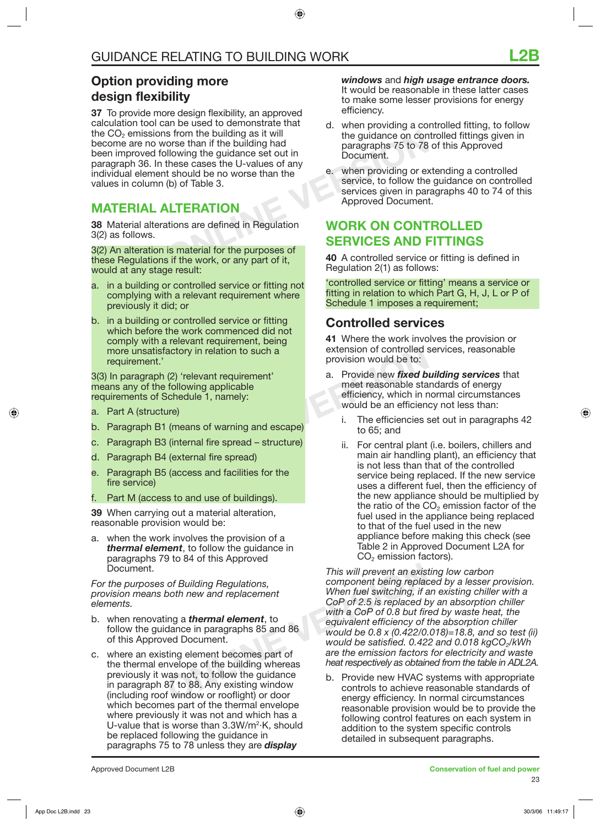## **Option providing more design flexibility**

From the building as it will<br>
orse than if the building had<br>
Illowing the guidance set out in<br>
these cases the U-values of any<br>
t should be no worse than the<br>
(b) of Table 3.<br> **VERATION**<br>
ations are defined in Regulation<br> **37** To provide more design flexibility, an approved calculation tool can be used to demonstrate that the CO<sub>2</sub> emissions from the building as it will become are no worse than if the building had been improved following the guidance set out in paragraph 36. In these cases the U-values of any individual element should be no worse than the values in column (b) of Table 3.

## **MATERIAL ALTERATION**

**38** Material alterations are defined in Regulation 3(2) as follows.

3(2) An alteration is material for the purposes of these Regulations if the work, or any part of it, would at any stage result:

- a. in a building or controlled service or fitting not complying with a relevant requirement where previously it did; or
- b. in a building or controlled service or fitting which before the work commenced did not comply with a relevant requirement, being more unsatisfactory in relation to such a requirement.'

3(3) In paragraph (2) 'relevant requirement' means any of the following applicable requirements of Schedule 1, namely:

- a. Part A (structure)
- b. Paragraph B1 (means of warning and escape)
- c. Paragraph B3 (internal fire spread structure)
- d. Paragraph B4 (external fire spread)
- e. Paragraph B5 (access and facilities for the fire service)
- Part M (access to and use of buildings).

**39** When carrying out a material alteration, reasonable provision would be:

a. when the work involves the provision of a *thermal element*, to follow the guidance in paragraphs 79 to 84 of this Approved Document.

*For the purposes of Building Regulations, provision means both new and replacement elements.*

- b. when renovating a *thermal element*, to follow the guidance in paragraphs 85 and 86 of this Approved Document.
- c. where an existing element becomes part of the thermal envelope of the building whereas previously it was not, to follow the guidance in paragraph 87 to 88. Any existing window (including roof window or rooflight) or door which becomes part of the thermal envelope where previously it was not and which has a U-value that is worse than 3.3W/m<sup>2</sup>·K, should be replaced following the guidance in paragraphs 75 to 78 unless they are *display*

*windows* and *high usage entrance doors.* It would be reasonable in these latter cases to make some lesser provisions for energy efficiency.

- d. when providing a controlled fitting, to follow the guidance on controlled fittings given in paragraphs 75 to 78 of this Approved Document.
- e. when providing or extending a controlled service, to follow the guidance on controlled services given in paragraphs 40 to 74 of this Approved Document.

## **WORK ON CONTROLLED SERVICES AND FITTINGS**

**40** A controlled service or fitting is defined in Regulation 2(1) as follows:

'controlled service or fitting' means a service or fitting in relation to which Part G, H, J, L or P of Schedule 1 imposes a requirement;

### **Controlled services**

**41** Where the work involves the provision or extension of controlled services, reasonable provision would be to:

- actory in relation to such a<br>
provision would be to:<br>
(2) 'relevant requirement'<br>
following applicable<br>
schedule 1, namely:<br>
ure)<br>
(means of warning and escape)<br>
(internal fire spread structure)<br>
(external fire spread)<br> a. Provide new *fixed building services* that meet reasonable standards of energy efficiency, which in normal circumstances would be an efficiency not less than:
	- i. The efficiencies set out in paragraphs 42 to 65; and
	- ii. For central plant (i.e. boilers, chillers and main air handling plant), an efficiency that is not less than that of the controlled service being replaced. If the new service uses a different fuel, then the efficiency of the new appliance should be multiplied by the ratio of the  $CO<sub>2</sub>$  emission factor of the fuel used in the appliance being replaced to that of the fuel used in the new appliance before making this check (see Table 2 in Approved Document L2A for  $CO<sub>2</sub>$  emission factors).

This will prevent an exisity of Building Regulations,<br>
both new and replacement<br>
ing a **thermal element**, to<br>
dance in paragraphs 85 and 86<br>
ed Document.<br>
would be 0.8 x (0.422/0.<br>
would be 0.8 x (0.422/0.<br>
would be satisf *This will prevent an existing low carbon component being replaced by a lesser provision. When fuel switching, if an existing chiller with a CoP of 2.5 is replaced by an absorption chiller with a CoP of 0.8 but fired by waste heat, the equivalent efficiency of the absorption chiller would be 0.8 x (0.422/0.018)=18.8, and so test (ii) would be satisfied. 0.422 and 0.018 kgCO*<sub>2</sub>/kWh *are the emission factors for electricity and waste heat respectively as obtained from the table in ADL2A.*

b. Provide new HVAC systems with appropriate controls to achieve reasonable standards of energy efficiency. In normal circumstances reasonable provision would be to provide the following control features on each system in addition to the system specific controls detailed in subsequent paragraphs.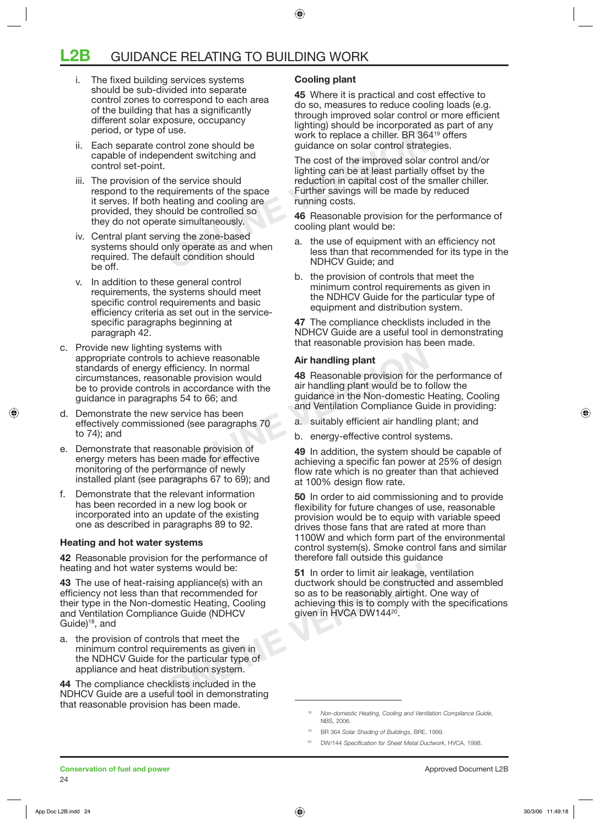## **L2B** GUIDANCE RELATING TO BUILDING WORK

- i. The fixed building services systems should be sub-divided into separate control zones to correspond to each area of the building that has a significantly different solar exposure, occupancy period, or type of use.
- ii. Each separate control zone should be capable of independent switching and control set-point.
- iii. The provision of the service should respond to the requirements of the space it serves. If both heating and cooling are provided, they should be controlled so they do not operate simultaneously.
- iv. Central plant serving the zone-based systems should only operate as and when required. The default condition should be off.
- v. In addition to these general control requirements, the systems should meet specific control requirements and basic efficiency criteria as set out in the servicespecific paragraphs beginning at paragraph 42.
- Systems with<br>to achieve reasonable<br>efficiency. In normal<br>mable provision would<br>sin accordance with the<br>air handling plant would be to fit<br>air handling plant would be to fit<br>air handling plant would be to fit<br>air handling p c. Provide new lighting systems with appropriate controls to achieve reasonable standards of energy efficiency. In normal circumstances, reasonable provision would be to provide controls in accordance with the guidance in paragraphs 54 to 66; and
- d. Demonstrate the new service has been effectively commissioned (see paragraphs 70 to 74); and
- e. Demonstrate that reasonable provision of energy meters has been made for effective monitoring of the performance of newly installed plant (see paragraphs 67 to 69); and
- f. Demonstrate that the relevant information has been recorded in a new log book or incorporated into an update of the existing one as described in paragraphs 89 to 92.

#### **Heating and hot water systems**

**42** Reasonable provision for the performance of heating and hot water systems would be:

**43** The use of heat-raising appliance(s) with an efficiency not less than that recommended for their type in the Non-domestic Heating, Cooling and Ventilation Compliance Guide (NDHCV Guide $18$ , and

a. the provision of controls that meet the minimum control requirements as given in the NDHCV Guide for the particular type of appliance and heat distribution system.

**44** The compliance checklists included in the NDHCV Guide are a useful tool in demonstrating that reasonable provision has been made.

#### **Cooling plant**

**45** Where it is practical and cost effective to do so, measures to reduce cooling loads (e.g. through improved solar control or more efficient lighting) should be incorporated as part of any work to replace a chiller. BR 364<sup>19</sup> offers guidance on solar control strategies.

Use.<br>
Work to replace a chiller. BR 36<br>
endent switching and<br>
the service should<br>
the service should<br>
durements of the space<br>
eating and cooling are<br>
lighting can be at least partially<br>
reduction in capital cost of the in-The cost of the improved solar control and/or lighting can be at least partially offset by the reduction in capital cost of the smaller chiller. Further savings will be made by reduced running costs.

**46** Reasonable provision for the performance of cooling plant would be:

- the use of equipment with an efficiency not less than that recommended for its type in the NDHCV Guide; and
- b. the provision of controls that meet the minimum control requirements as given in the NDHCV Guide for the particular type of equipment and distribution system.

**47** The compliance checklists included in the NDHCV Guide are a useful tool in demonstrating that reasonable provision has been made.

#### **Air handling plant**

**48** Reasonable provision for the performance of air handling plant would be to follow the guidance in the Non-domestic Heating, Cooling and Ventilation Compliance Guide in providing:

- a. suitably efficient air handling plant; and
- b. energy-effective control systems.

**49** In addition, the system should be capable of achieving a specific fan power at 25% of design flow rate which is no greater than that achieved at 100% design flow rate.

**50** In order to aid commissioning and to provide flexibility for future changes of use, reasonable provision would be to equip with variable speed drives those fans that are rated at more than 1100W and which form part of the environmental control system(s). Smoke control fans and similar therefore fall outside this guidance

Stems would be:<br> **S1** In order to limit air leakage,<br>
that recommended for<br>
the constructe<br>
the so as to be reasonably airtight.<br>
nestic Heating, Cooling<br>
achieving this is to comply with<br>
given in HVCA DW144<sup>20</sup>.<br>
The par **51** In order to limit air leakage, ventilation ductwork should be constructed and assembled so as to be reasonably airtight. One way of achieving this is to comply with the specifications given in HVCA DW144<sup>20</sup>.

<sup>18</sup> *Non-domestic Heating, Cooling and Ventilation Compilance Guide*, NBS, 2006.

<sup>19</sup> BR 364 *Solar Shading of Buildings*, BRE, 1999.

<sup>20</sup> DW/144 *Specifi cation for Sheet Metal Ductwork*, HVCA, 1998.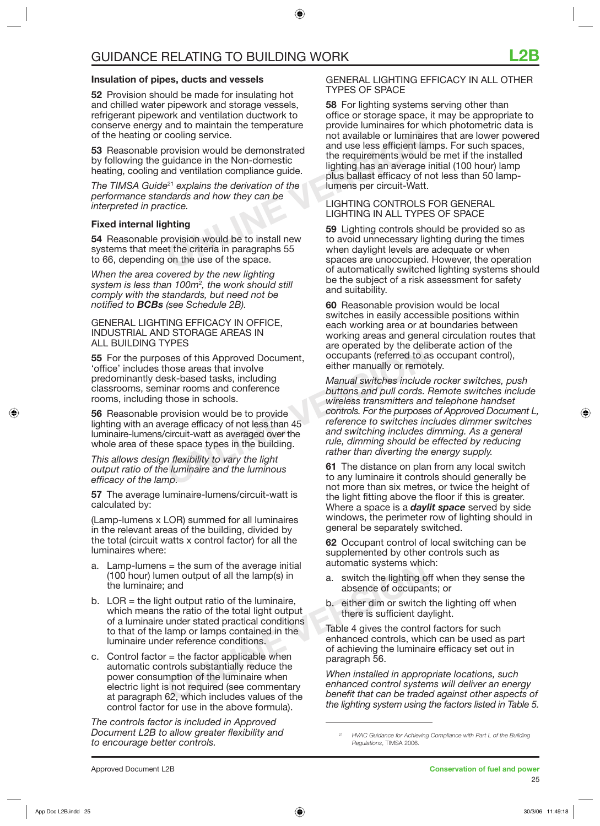#### **Insulation of pipes, ducts and vessels**

**52** Provision should be made for insulating hot and chilled water pipework and storage vessels, refrigerant pipework and ventilation ductwork to conserve energy and to maintain the temperature of the heating or cooling service.

**53** Reasonable provision would be demonstrated by following the guidance in the Non-domestic heating, cooling and ventilation compliance guide.

*The TIMSA Guide*<sup>21</sup> *explains the derivation of the performance standards and how they can be interpreted in practice.*

#### **Fixed internal lighting**

**54** Reasonable provision would be to install new systems that meet the criteria in paragraphs 55 to 66, depending on the use of the space.

*When the area covered by the new lighting system is less than 100m2 , the work should still comply with the standards, but need not be notified to BCBs (see Schedule 2B).*

#### GENERAL LIGHTING EFFICACY IN OFFICE, INDUSTRIAL AND STORAGE AREAS IN ALL BUILDING TYPES

**55** For the purposes of this Approved Document, 'office' includes those areas that involve predominantly desk-based tasks, including classrooms, seminar rooms and conference rooms, including those in schools.

**56** Reasonable provision would be to provide lighting with an average efficacy of not less than 45 luminaire-lumens/circuit-watt as averaged over the whole area of these space types in the building.

*This allows design flexibility to vary the light output ratio of the luminaire and the luminous efficacy of the lamp.* 

**57** The average luminaire-lumens/circuit-watt is calculated by:

(Lamp-lumens x LOR) summed for all luminaires in the relevant areas of the building, divided by the total (circuit watts x control factor) for all the luminaires where:

- a. Lamp-lumens = the sum of the average initial (100 hour) lumen output of all the lamp(s) in the luminaire; and
- i = the sum of the average initial<br>
nen output of all the lamp(s) in<br>
a. switch the lighting or<br>
the ratio of the total light output<br>
the ratio of the total light output<br>
there is sufficient da<br>
under stated practical cond b.  $LOR =$  the light output ratio of the luminaire, which means the ratio of the total light output of a luminaire under stated practical conditions to that of the lamp or lamps contained in the luminaire under reference conditions.
- c. Control factor  $=$  the factor applicable when automatic controls substantially reduce the power consumption of the luminaire when electric light is not required (see commentary at paragraph 62, which includes values of the control factor for use in the above formula).

*The controls factor is included in Approved Document L2B to allow greater flexibility and to encourage better controls.* 

#### GENERAL LIGHTING EFFICACY IN ALL OTHER TYPES OF SPACE

cooling service.<br>
The vision would be demonstrated<br>
und use less efficient lare<br>
und ventilation compliance guide.<br>
<sup>21</sup> explains the derivation of the<br>
<sup>21</sup> explains the derivation of the<br>
dards and how they can be<br>
ctice **58** For lighting systems serving other than office or storage space, it may be appropriate to provide luminaires for which photometric data is not available or luminaires that are lower powered and use less efficient lamps. For such spaces, the requirements would be met if the installed lighting has an average initial (100 hour) lamp plus ballast efficacy of not less than 50 lamplumens per circuit-Watt.

#### LIGHTING CONTROLS FOR GENERAL LIGHTING IN ALL TYPES OF SPACE

**59** Lighting controls should be provided so as to avoid unnecessary lighting during the times when daylight levels are adequate or when spaces are unoccupied. However, the operation of automatically switched lighting systems should be the subject of a risk assessment for safety and suitability.

**60** Reasonable provision would be local switches in easily accessible positions within each working area or at boundaries between working areas and general circulation routes that are operated by the deliberate action of the occupants (referred to as occupant control), either manually or remotely.

Examples are operated by the defined by the defined by the defined by the defined to a<br>
ses of this Approved Document,<br>
Signal only the either manually or remote<br>
Signal on the second by the stand pull cords.<br>
those in sch *Manual switches include rocker switches, push buttons and pull cords. Remote switches include wireless transmitters and telephone handset controls. For the purposes of Approved Document L, reference to switches includes dimmer switches and switching includes dimming. As a general rule, dimming should be effected by reducing rather than diverting the energy supply.*

**61** The distance on plan from any local switch to any luminaire it controls should generally be not more than six metres, or twice the height of the light fitting above the floor if this is greater. Where a space is a *daylit space* served by side windows, the perimeter row of lighting should in general be separately switched.

**62** Occupant control of local switching can be supplemented by other controls such as automatic systems which:

- a. switch the lighting off when they sense the absence of occupants; or
- b. either dim or switch the lighting off when there is sufficient daylight.

Table 4 gives the control factors for such enhanced controls, which can be used as part of achieving the luminaire efficacy set out in paragraph 56.

*When installed in appropriate locations, such enhanced control systems will deliver an energy benefit that can be traded against other aspects of the lighting system using the factors listed in Table 5.*

<sup>21</sup> *HVAC Guidance for Achieving Compliance with Part L of the Building Regulations*, TIMSA 2006.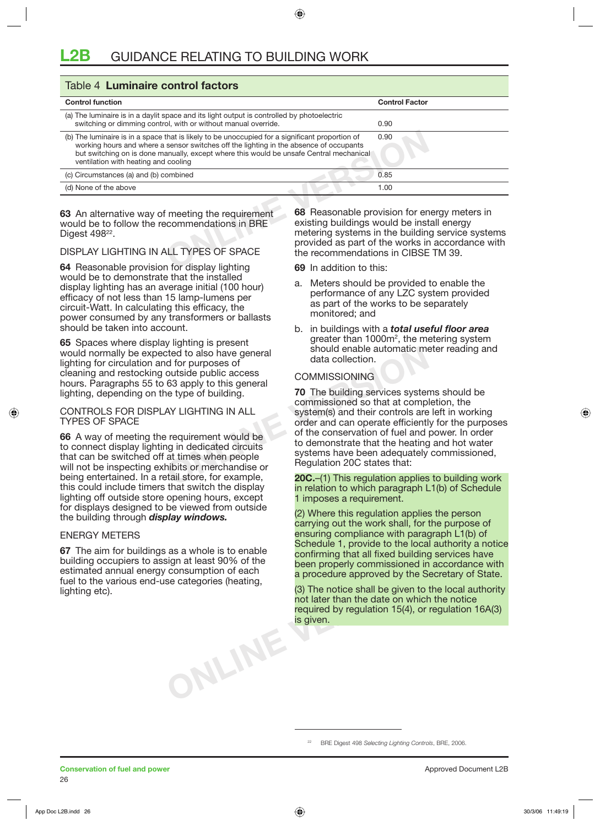| Table 4 Luminaire control factors                                                                                                                                                                                                                                                                                                                                                                                      |                                |  |  |
|------------------------------------------------------------------------------------------------------------------------------------------------------------------------------------------------------------------------------------------------------------------------------------------------------------------------------------------------------------------------------------------------------------------------|--------------------------------|--|--|
| <b>Control function</b>                                                                                                                                                                                                                                                                                                                                                                                                | <b>Control Factor</b>          |  |  |
| (a) The luminaire is in a daylit space and its light output is controlled by photoelectric<br>switching or dimming control, with or without manual override.                                                                                                                                                                                                                                                           | 0.90                           |  |  |
| (b) The luminaire is in a space that is likely to be unoccupied for a significant proportion of<br>working hours and where a sensor switches off the lighting in the absence of occupants<br>but switching on is done manually, except where this would be unsafe Central mechanical<br>ventilation with heating and cooling                                                                                           | 0.90                           |  |  |
| (c) Circumstances (a) and (b) combined                                                                                                                                                                                                                                                                                                                                                                                 | 0.85                           |  |  |
| (d) None of the above                                                                                                                                                                                                                                                                                                                                                                                                  | 1.00                           |  |  |
| 68 Reasonable provision for energy meters in<br>63 An alternative way of meeting the requirement<br>existing buildings would be install energy<br>would be to follow the recommendations in BRE<br>metering systems in the building service systems<br>Digest 498 <sup>22</sup> .<br>provided as part of the works in accordance with<br>DISPLAY LIGHTING IN ALL TYPES OF SPACE<br>the recommendations in CIBSE TM 39. |                                |  |  |
| 64 Reasonable provision for display lighting                                                                                                                                                                                                                                                                                                                                                                           | <b>69</b> In addition to this: |  |  |

#### DISPLAY LIGHTING IN ALL TYPES OF SPACE

**64** Reasonable provision for display lighting would be to demonstrate that the installed display lighting has an average initial (100 hour) efficacy of not less than 15 lamp-lumens per circuit-Watt. In calculating this efficacy, the power consumed by any transformers or ballasts should be taken into account.

**65** Spaces where display lighting is present would normally be expected to also have general lighting for circulation and for purposes of cleaning and restocking outside public access hours. Paragraphs 55 to 63 apply to this general lighting, depending on the type of building.

#### CONTROLS FOR DISPLAY LIGHTING IN ALL TYPES OF SPACE

**66** A way of meeting the requirement would be to connect display lighting in dedicated circuits that can be switched off at times when people will not be inspecting exhibits or merchandise or being entertained. In a retail store, for example, this could include timers that switch the display lighting off outside store opening hours, except for displays designed to be viewed from outside the building through *display windows.* 

#### ENERGY METERS

**67** The aim for buildings as a whole is to enable building occupiers to assign at least 90% of the estimated annual energy consumption of each fuel to the various end-use categories (heating, lighting etc).

**ONLINE VERSION**

- **69** In addition to this:
- a. Meters should be provided to enable the performance of any LZC system provided as part of the works to be separately monitored; and
- b. in buildings with a *total useful floor area*  greater than 1000m<sup>2</sup>, the metering system should enable automatic meter reading and data collection.

#### COMMISSIONING

Commissioned and the type of building.<br>
And the public access<br>
63 apply to this general<br>
e type of building.<br>
And Disk of the building services syster<br>
AN LIGHTING IN ALL<br>
Predicated circuits<br>
of the conservation of fuel a **70** The building services systems should be commissioned so that at completion, the system(s) and their controls are left in working order and can operate efficiently for the purposes of the conservation of fuel and power. In order to demonstrate that the heating and hot water systems have been adequately commissioned, Regulation 20C states that:

**20C.**–(1) This regulation applies to building work in relation to which paragraph L1(b) of Schedule 1 imposes a requirement.

(2) Where this regulation applies the person carrying out the work shall, for the purpose of ensuring compliance with paragraph L1(b) of Schedule 1, provide to the local authority a notice confirming that all fixed building services have been properly commissioned in accordance with a procedure approved by the Secretary of State.

(3) The notice shall be given to the local authority not later than the date on which the notice required by regulation 15(4), or regulation 16A(3) is given.

<sup>22</sup> BRE Digest 498 *Selecting Lighting Controls*, BRE, 2006.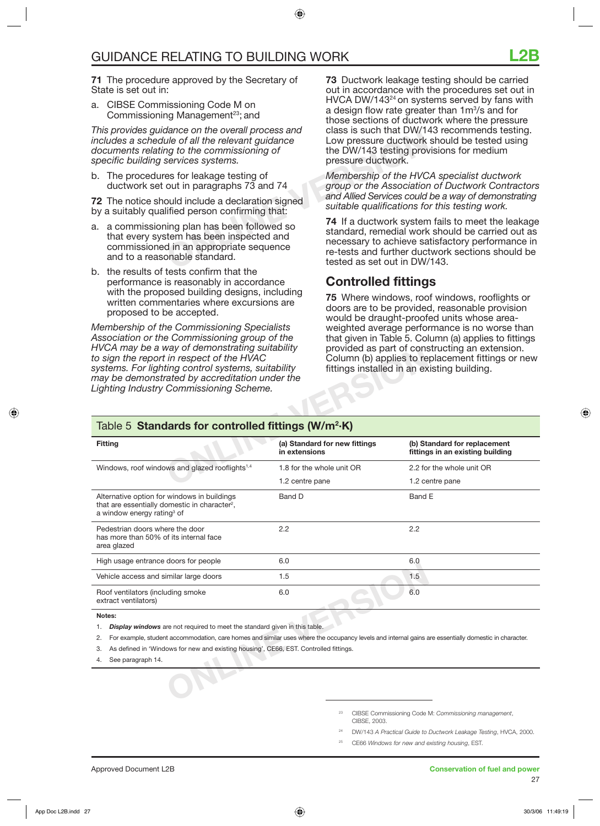**71** The procedure approved by the Secretary of State is set out in:

a. CIBSE Commissioning Code M on Commissioning Management<sup>23</sup>; and

*This provides guidance on the overall process and includes a schedule of all the relevant guidance documents relating to the commissioning of specific building services systems.* 

b. The procedures for leakage testing of ductwork set out in paragraphs 73 and 74

**72** The notice should include a declaration signed by a suitably qualified person confirming that:

- **ONLINE VERSION** a. a commissioning plan has been followed so that every system has been inspected and commissioned in an appropriate sequence and to a reasonable standard.
- b. the results of tests confirm that the performance is reasonably in accordance with the proposed building designs, including written commentaries where excursions are proposed to be accepted.

*Membership of the Commissioning Specialists Association or the Commissioning group of the HVCA may be a way of demonstrating suitability to sign the report in respect of the HVAC systems. For lighting control systems, suitability may be demonstrated by accreditation under the Lighting Industry Commissioning Scheme.*

**73** Ductwork leakage testing should be carried out in accordance with the procedures set out in HVCA DW/143<sup>24</sup> on systems served by fans with a design flow rate greater than 1m<sup>3</sup>/s and for those sections of ductwork where the pressure class is such that DW/143 recommends testing. Low pressure ductwork should be tested using the DW/143 testing provisions for medium pressure ductwork.

*Membership of the HVCA specialist ductwork group or the Association of Ductwork Contractors and Allied Services could be a way of demonstrating suitable qualifications for this testing work.*

**74** If a ductwork system fails to meet the leakage standard, remedial work should be carried out as necessary to achieve satisfactory performance in re-tests and further ductwork sections should be tested as set out in DW/143.

### **Controlled fittings**

**75** Where windows, roof windows, rooflights or doors are to be provided, reasonable provision would be draught-proofed units whose areaweighted average performance is no worse than that given in Table 5. Column (a) applies to fittings provided as part of constructing an extension. Column (b) applies to replacement fittings or new fittings installed in an existing building.

| HVCA may be a way or demonstrating suitability<br>to sign the report in respect of the HVAC<br>systems. For lighting control systems, suitability<br>may be demonstrated by accreditation under the<br>Lighting Industry Commissioning Scheme. |                                                | provided as part of constructing an extension.<br>Column (b) applies to replacement fittings or new<br>fittings installed in an existing building. |  |
|------------------------------------------------------------------------------------------------------------------------------------------------------------------------------------------------------------------------------------------------|------------------------------------------------|----------------------------------------------------------------------------------------------------------------------------------------------------|--|
| Table 5 Standards for controlled fittings (W/m <sup>2</sup> ·K)                                                                                                                                                                                |                                                |                                                                                                                                                    |  |
| <b>Fitting</b>                                                                                                                                                                                                                                 | (a) Standard for new fittings<br>in extensions | (b) Standard for replacement<br>fittings in an existing building                                                                                   |  |
| Windows, roof windows and glazed rooflights <sup>1,4</sup>                                                                                                                                                                                     | 1.8 for the whole unit OR                      | 2.2 for the whole unit OR                                                                                                                          |  |
|                                                                                                                                                                                                                                                | 1.2 centre pane                                | 1.2 centre pane                                                                                                                                    |  |
| Alternative option for windows in buildings<br>that are essentially domestic in character <sup>2</sup> ,<br>a window energy rating <sup>3</sup> of                                                                                             | Band D                                         | Band E                                                                                                                                             |  |
| Pedestrian doors where the door<br>has more than 50% of its internal face<br>area glazed                                                                                                                                                       | 2.2                                            | 2.2                                                                                                                                                |  |
| High usage entrance doors for people                                                                                                                                                                                                           | 6.0                                            | 6.0                                                                                                                                                |  |
| Vehicle access and similar large doors                                                                                                                                                                                                         | 1.5                                            | 1.5                                                                                                                                                |  |
| Roof ventilators (including smoke<br>extract ventilators)                                                                                                                                                                                      | 6.0                                            | 6.0                                                                                                                                                |  |
| Notes:                                                                                                                                                                                                                                         |                                                |                                                                                                                                                    |  |
| <b>Display windows</b> are not required to meet the standard given in this table.<br>1.                                                                                                                                                        |                                                |                                                                                                                                                    |  |
| For example, student accommodation, care homes and similar uses where the occupancy levels and internal gains are essentially domestic in character.<br>2.                                                                                     |                                                |                                                                                                                                                    |  |
| As defined in 'Windows for new and existing housing', CE66, EST. Controlled fittings.<br>3.                                                                                                                                                    |                                                |                                                                                                                                                    |  |
| See paragraph 14.<br>4.                                                                                                                                                                                                                        |                                                |                                                                                                                                                    |  |
|                                                                                                                                                                                                                                                |                                                |                                                                                                                                                    |  |

23 CIBSE Commissioning Code M: *Commissioning management*, CIBSE, 2003.

24 DW/143 *A Practical Guide to Ductwork Leakage Testing*, HVCA, 2000.

25 CE66 *Windows for new and existing housing*, EST.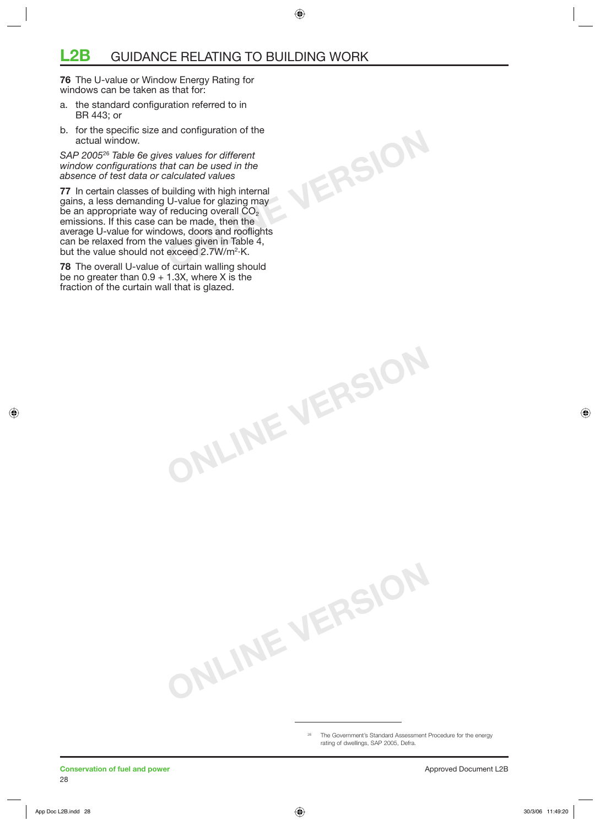**76** The U-value or Window Energy Rating for windows can be taken as that for:

- a. the standard configuration referred to in BR 443; or
- b. for the specific size and configuration of the actual window.

*SAP 2005*<sup>26</sup> *Table 6e gives values for different window configurations that can be used in the absence of test data or calculated values* 

**77** In certain classes of building with high internal gains, a less demanding U-value for glazing may be an appropriate way of reducing overall  $CO<sub>2</sub>$ emissions. If this case can be made, then the average U-value for windows, doors and rooflights can be relaxed from the values given in Table 4, but the value should not exceed 2.7W/m<sup>2</sup>·K.

**78** The overall U-value of curtain walling should be no greater than  $0.9 + 1.3X$ , where X is the fraction of the curtain wall that is glazed.

> <sup>26</sup> The Government's Standard Assessment Procedure for the energy rating of dwellings, SAP 2005, Defra.

**ONLINE VERSION**

**ONLINE VERSION**

**ONLINE VERSION**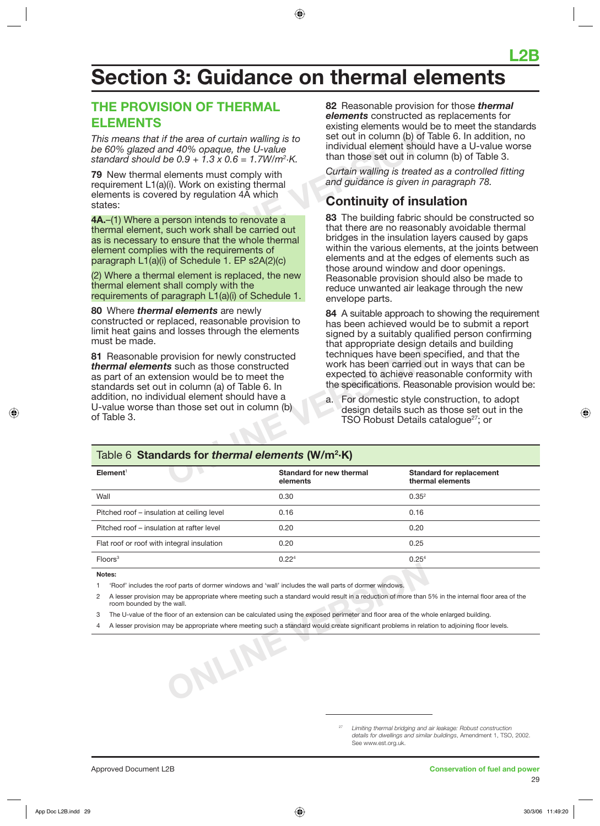## **Section 3: Guidance on thermal elements**

## **THE PROVISION OF THERMAL ELEMENTS**

*This means that if the area of curtain walling is to be 60% glazed and 40% opaque, the U-value standard should be 0.9 + 1.3 x 0.6 = 1.7W/m2 ·K.*

**79** New thermal elements must comply with requirement L1(a)(i). Work on existing thermal elements is covered by regulation 4A which states:

Fund the area of curtain walling is to<br>
be 0.9 + 1.3 x 0.6 = 1.7W/m<sup>2</sup>·K.<br>
elements must comply with<br>
(i). Work on existing thermal<br>
ed by regulation 4A which<br>
encoust a<br>
escale work shall be carried out<br>
be such work shal **4A.**–(1) Where a person intends to renovate a thermal element, such work shall be carried out as is necessary to ensure that the whole thermal element complies with the requirements of paragraph L1(a)(i) of Schedule 1. EP s2A(2)(c)

(2) Where a thermal element is replaced, the new thermal element shall comply with the requirements of paragraph L1(a)(i) of Schedule 1.

**80** Where *thermal elements* are newly constructed or replaced, reasonable provision to limit heat gains and losses through the elements must be made.

From the state of the techniques have been is<br> **S** such as those constructed<br>
In column (a) of Table 6. In<br>
Similar element should have a<br>
the specifications. Reaso<br>
idual element should have a<br>
a. For domestic style c<br>
de **81** Reasonable provision for newly constructed *thermal elements* such as those constructed as part of an extension would be to meet the standards set out in column (a) of Table 6. In addition, no individual element should have a U-value worse than those set out in column (b) of Table 3.

**82** Reasonable provision for those *thermal elements* constructed as replacements for existing elements would be to meet the standards set out in column (b) of Table 6. In addition, no individual element should have a U-value worse than those set out in column (b) of Table 3.

*Curtain walling is treated as a controlled fitting and guidance is given in paragraph 78.*

## **Continuity of insulation**

**83** The building fabric should be constructed so that there are no reasonably avoidable thermal bridges in the insulation layers caused by gaps within the various elements, at the joints between elements and at the edges of elements such as those around window and door openings. Reasonable provision should also be made to reduce unwanted air leakage through the new envelope parts.

**84** A suitable approach to showing the requirement has been achieved would be to submit a report signed by a suitably qualified person confirming that appropriate design details and building techniques have been specified, and that the work has been carried out in ways that can be expected to achieve reasonable conformity with the specifications. Reasonable provision would be:

a. For domestic style construction, to adopt design details such as those set out in the TSO Robust Details catalogue<sup>27</sup>; or

#### Table 6 **Standards for** *thermal elements* **(W/m2 ·K)**

| Element <sup>1</sup>                       | Standard for new thermal<br>elements | <b>Standard for replacement</b><br>thermal elements |
|--------------------------------------------|--------------------------------------|-----------------------------------------------------|
| Wall                                       | 0.30                                 | $0.35^{2}$                                          |
| Pitched roof – insulation at ceiling level | 0.16                                 | 0.16                                                |
| Pitched roof – insulation at rafter level  | 0.20                                 | 0.20                                                |
| Flat roof or roof with integral insulation | 0.20                                 | 0.25                                                |
| Floors <sup>3</sup>                        | 0.22 <sup>4</sup>                    | 0.25 <sup>4</sup>                                   |
|                                            |                                      |                                                     |

**Notes:**

1 'Roof' includes the roof parts of dormer windows and 'wall' includes the wall parts of dormer windows.

2 A lesser provision may be appropriate where meeting such a standard would result in a reduction of more than 5% in the internal floor area of the room bounded by the wall.

3 The U-value of the floor of an extension can be calculated using the exposed perimeter and floor area of the whole enlarged building.

ONLINE 4 A lesser provision may be appropriate where meeting such a standard would create significant problems in relation to adjoining floor levels.

> 27 *Limiting thermal bridging and air leakage: Robust construction details for dwellings and similar buildings*, Amendment 1, TSO, 2002. See www.est.org.uk.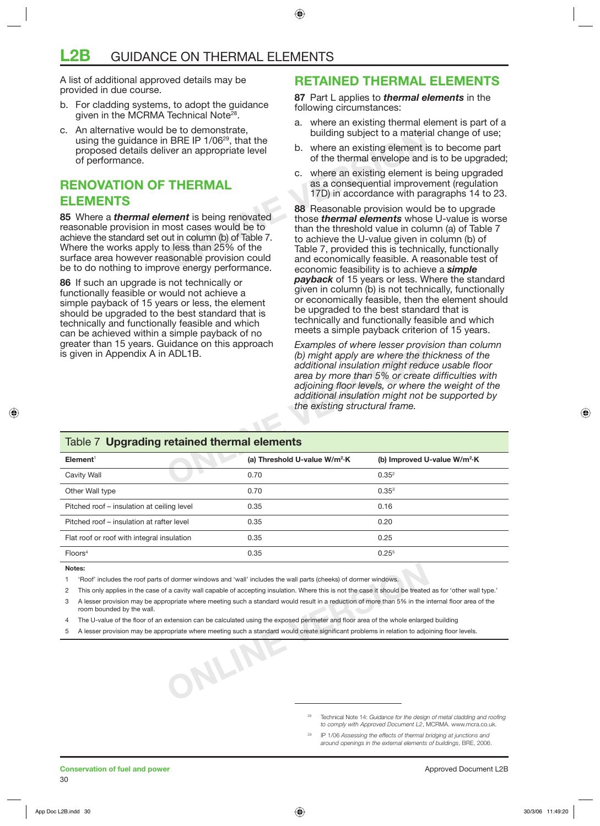A list of additional approved details may be provided in due course.

- b. For cladding systems, to adopt the guidance given in the MCRMA Technical Note<sup>28</sup>.
- c. An alternative would be to demonstrate, using the guidance in BRE IP 1/06<sup>29</sup>, that the proposed details deliver an appropriate level of performance.

### **RENOVATION OF THERMAL ELEMENTS**

**85** Where a *thermal element* is being renovated reasonable provision in most cases would be to achieve the standard set out in column (b) of Table 7. Where the works apply to less than 25% of the surface area however reasonable provision could be to do nothing to improve energy performance.

**86** If such an upgrade is not technically or functionally feasible or would not achieve a simple payback of 15 years or less, the element should be upgraded to the best standard that is technically and functionally feasible and which can be achieved within a simple payback of no greater than 15 years. Guidance on this approach is given in Appendix A in ADL1B.

### **RETAINED THERMAL ELEMENTS**

**87** Part L applies to *thermal elements* in the following circumstances:

- a. where an existing thermal element is part of a building subject to a material change of use;
- b. where an existing element is to become part of the thermal envelope and is to be upgraded;
- c. where an existing element is being upgraded as a consequential improvement (regulation 17D) in accordance with paragraphs 14 to 23.

De to demonstrate,<br>
1 BRE IP 1/06<sup>29</sup>, that the<br>
ver an appropriate level<br>
b. where an existing element is<br>
of the thermal envelope and<br>
c. where an existing element is<br>
of the thermal envelope and<br>
c. where an existing el **88** Reasonable provision would be to upgrade those *thermal elements* whose U-value is worse than the threshold value in column (a) of Table 7 to achieve the U-value given in column (b) of Table 7, provided this is technically, functionally and economically feasible. A reasonable test of economic feasibility is to achieve a *simple payback* of 15 years or less. Where the standard given in column (b) is not technically, functionally or economically feasible, then the element should be upgraded to the best standard that is technically and functionally feasible and which meets a simple payback criterion of 15 years.

> *Examples of where lesser provision than column (b) might apply are where the thickness of the additional insulation might reduce usable floor area by more than 5% or create difficulties with adjoining floor levels, or where the weight of the additional insulation might not be supported by the existing structural frame.*

| is given in Appendix A in ADL1B.            | the existing structural frame.            | <b>LAGINDICS OF WHEIE ICSSCI DIOVISION GRAFICORNINI</b><br>(b) might apply are where the thickness of the<br>additional insulation might reduce usable floor<br>area by more than 5% or create difficulties with<br>adjoining floor levels, or where the weight of the<br>additional insulation might not be supported by |  |  |
|---------------------------------------------|-------------------------------------------|---------------------------------------------------------------------------------------------------------------------------------------------------------------------------------------------------------------------------------------------------------------------------------------------------------------------------|--|--|
| Table 7 Upgrading retained thermal elements |                                           |                                                                                                                                                                                                                                                                                                                           |  |  |
| Element <sup>1</sup>                        | (a) Threshold U-value W/m <sup>2</sup> ·K | (b) Improved U-value W/m <sup>2</sup> ·K                                                                                                                                                                                                                                                                                  |  |  |
| Cavity Wall                                 | 0.70                                      | 0.35 <sup>2</sup>                                                                                                                                                                                                                                                                                                         |  |  |
| Other Wall type                             | 0.70                                      | $0.35^{3}$                                                                                                                                                                                                                                                                                                                |  |  |
| Pitched roof - insulation at ceiling level  | 0.35                                      | 0.16                                                                                                                                                                                                                                                                                                                      |  |  |
| Pitched roof – insulation at rafter level   | 0.35                                      | 0.20                                                                                                                                                                                                                                                                                                                      |  |  |
| Flat roof or roof with integral insulation  | 0.35                                      | 0.25                                                                                                                                                                                                                                                                                                                      |  |  |
| Floors <sup>4</sup>                         | 0.35                                      | 0.25 <sup>5</sup>                                                                                                                                                                                                                                                                                                         |  |  |
|                                             |                                           |                                                                                                                                                                                                                                                                                                                           |  |  |

#### **Notes:**

1 'Roof' includes the roof parts of dormer windows and 'wall' includes the wall parts (cheeks) of dormer windows.

**ONLINE VERSION**

2 This only applies in the case of a cavity wall capable of accepting insulation. Where this is not the case it should be treated as for 'other wall type.'

- 3 A lesser provision may be appropriate where meeting such a standard would result in a reduction of more than 5% in the internal floor area of the room bounded by the wall.
- 4 The U-value of the floor of an extension can be calculated using the exposed perimeter and floor area of the whole enlarged building
- 5 A lesser provision may be appropriate where meeting such a standard would create significant problems in relation to adjoining floor levels.

Technical Note 14: *Guidance for the design of metal cladding and roofing to comply with Approved Document L2*, MCRMA. www.mcra.co.uk.

29 IP 1/06 *Assessing the effects of thermal bridging at junctions and around openings in the external elements of buildings*, BRE, 2006.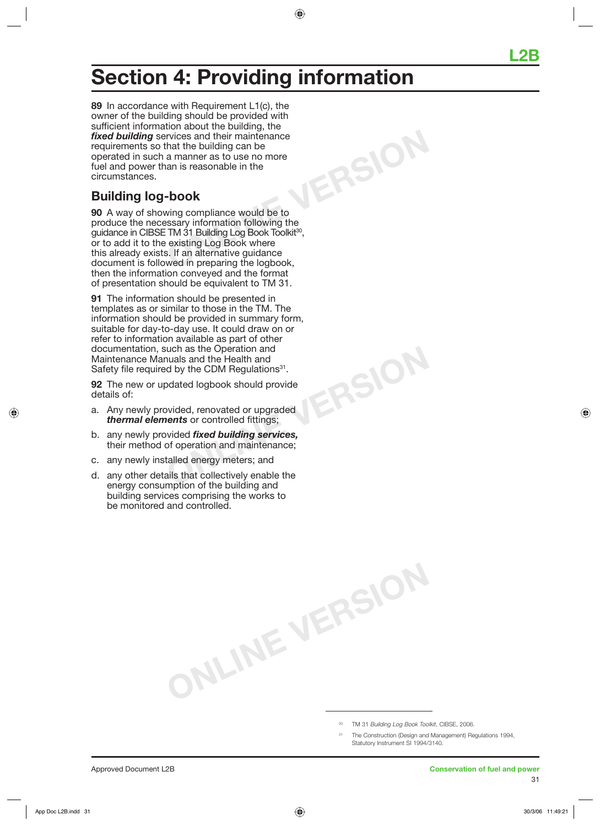## **Section 4: Providing information**

**ONLINE VERSION 89** In accordance with Requirement L1(c), the owner of the building should be provided with sufficient information about the building, the *fixed building* services and their maintenance requirements so that the building can be operated in such a manner as to use no more fuel and power than is reasonable in the circumstances.

## **Building log-book**

**90** A way of showing compliance would be to produce the necessary information following the guidance in CIBSE TM 31 Building Log Book Toolkit<sup>30</sup>, or to add it to the existing Log Book where this already exists. If an alternative guidance document is followed in preparing the logbook, then the information conveyed and the format of presentation should be equivalent to TM 31.

**91** The information should be presented in templates as or similar to those in the TM. The information should be provided in summary form, suitable for day-to-day use. It could draw on or refer to information available as part of other documentation, such as the Operation and Maintenance Manuals and the Health and Safety file required by the CDM Regulations<sup>31</sup>.

**92** The new or updated logbook should provide details of:

- a. Any newly provided, renovated or upgraded *thermal elements* or controlled fittings;
- b. any newly provided *fixed building services,* their method of operation and maintenance;
- c. any newly installed energy meters; and
- d. any other details that collectively enable the energy consumption of the building and building services comprising the works to be monitored and controlled.

30 TM 31 *Building Log Book Toolkit*, CIBSE, 2006.

**ONLINE VERSION**

**ONLINE VERSION**

The Construction (Design and Management) Regulations 1994, Statutory Instrument SI 1994/3140.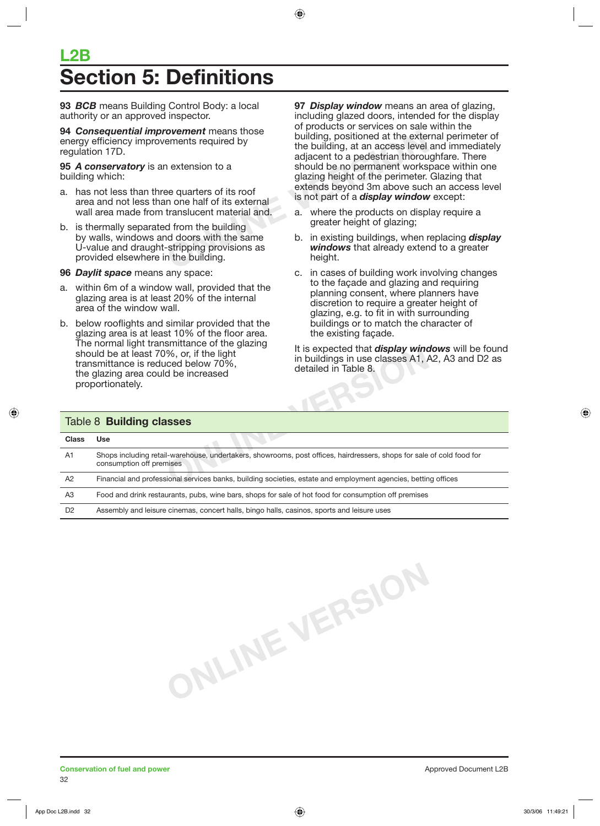## **L2B Action 5: Definitions**

**93** *BCB* means Building Control Body: a local authority or an approved inspector.

**94** *Consequential improvement* means those energy efficiency improvements required by regulation 17D.

**95** *A conservatory* is an extension to a building which:

- a. has not less than three quarters of its roof area and not less than one half of its external wall area made from translucent material and.
- b. is thermally separated from the building by walls, windows and doors with the same U-value and draught-stripping provisions as provided elsewhere in the building.
- **96** *Daylit space* means any space:
- a. within 6m of a window wall, provided that the glazing area is at least 20% of the internal area of the window wall.
- b. below rooflights and similar provided that the glazing area is at least 10% of the floor area. The normal light transmittance of the glazing should be at least 70%, or, if the light transmittance is reduced below 70%, the glazing area could be increased proportionately.

**OVement** means those<br>
ements required by<br>
a building, positioned at the externents required by<br>
a correction of the building, at an access level<br>
adjacent to a pedestrian thorour<br>
should be no permanent works<br>
glazing hei **97** *Display window* means an area of glazing, including glazed doors, intended for the display of products or services on sale within the building, positioned at the external perimeter of the building, at an access level and immediately adjacent to a pedestrian thoroughfare. There should be no permanent workspace within one glazing height of the perimeter. Glazing that extends beyond 3m above such an access level is not part of a *display window* except:

- a. where the products on display require a greater height of glazing;
- b. in existing buildings, when replacing *display windows* that already extend to a greater height.
- c. in cases of building work involving changes to the façade and glazing and requiring planning consent, where planners have discretion to require a greater height of glazing, e.g. to fit in with surrounding buildings or to match the character of the existing façade.

It is expected that *display windows* will be found in buildings in use classes A1, A2, A3 and D2 as detailed in Table 8.

| should be at least 70%, or, if the light<br>transmittance is reduced below 70%,<br>the glazing area could be increased<br>proportionately.        | It is expected that <b>display windows</b> will be found<br>in buildings in use classes A1, A2, A3 and D2 as<br>detailed in Table 8. |  |  |
|---------------------------------------------------------------------------------------------------------------------------------------------------|--------------------------------------------------------------------------------------------------------------------------------------|--|--|
| Table 8 <b>Building classes</b>                                                                                                                   |                                                                                                                                      |  |  |
| <b>Use</b>                                                                                                                                        |                                                                                                                                      |  |  |
| Shops including retail-warehouse, undertakers, showrooms, post offices, hairdressers, shops for sale of cold food for<br>consumption off premises |                                                                                                                                      |  |  |
| Financial and professional services banks, building societies, estate and employment agencies, betting offices                                    |                                                                                                                                      |  |  |
| Food and drink restaurants, pubs, wine bars, shops for sale of hot food for consumption off premises                                              |                                                                                                                                      |  |  |
| Assembly and leisure cinemas, concert halls, bingo halls, casinos, sports and leisure uses                                                        |                                                                                                                                      |  |  |
|                                                                                                                                                   |                                                                                                                                      |  |  |

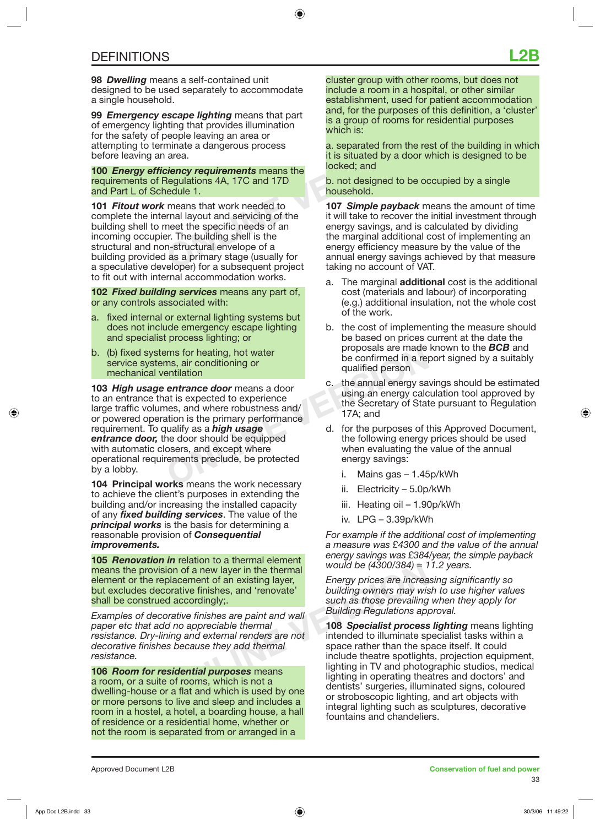**98** *Dwelling* means a self-contained unit designed to be used separately to accommodate a single household.

**99** *Emergency escape lighting* means that part of emergency lighting that provides illumination for the safety of people leaving an area or attempting to terminate a dangerous process before leaving an area.

**100** *Energy efficiency requirements* means the requirements of Regulations 4A, 17C and 17D and Part L of Schedule 1.

**Example leaving an area or**<br>
minate a dangerous process<br>
a. separated from the re<br> **Example 2** and<br> **ONLINE SECUTE ANCE AND SECUTE AND SECUTE AND SECUTE AND SECUTE AND SECUTE AND SECURITY OF THE BUILD TO THE SECUTE AND SE 101** *Fitout work* means that work needed to complete the internal layout and servicing of the building shell to meet the specific needs of an incoming occupier. The building shell is the structural and non-structural envelope of a building provided as a primary stage (usually for a speculative developer) for a subsequent project to fit out with internal accommodation works.

**102** *Fixed building services* means any part of, or any controls associated with:

- a. fixed internal or external lighting systems but does not include emergency escape lighting and specialist process lighting; or
- b. (b) fixed systems for heating, hot water service systems, air conditioning or mechanical ventilation

Find Solution in the animal specifical proposals are made<br>
In the confirmed in a requalified person<br> **ONLINE CONCRECTED AND CONCRECTED AND CONCRECTED AND CONCRECTED and the Secretary of Stat<br>
Hamman energy calculating an e 103** *High usage entrance door* means a door to an entrance that is expected to experience large traffic volumes, and where robustness and/ or powered operation is the primary performance requirement. To qualify as a *high usage entrance door,* the door should be equipped with automatic closers, and except where operational requirements preclude, be protected by a lobby.

**104 Principal works** means the work necessary to achieve the client's purposes in extending the building and/or increasing the installed capacity of any *fixed building services*. The value of the *principal works* is the basis for determining a reasonable provision of *Consequential improvements.*

**105** *Renovation in* relation to a thermal element means the provision of a new layer in the thermal element or the replacement of an existing layer, but excludes decorative finishes, and 'renovate' shall be construed accordingly;.

*Examples of decorative finishes are paint and wall paper etc that add no appreciable thermal resistance. Dry-lining and external renders are not decorative finishes because they add thermal resistance.*

**106** *Room for residential purposes* means a room, or a suite of rooms, which is not a dwelling-house or a flat and which is used by one or more persons to live and sleep and includes a room in a hostel, a hotel, a boarding house, a hall of residence or a residential home, whether or not the room is separated from or arranged in a

cluster group with other rooms, but does not include a room in a hospital, or other similar establishment, used for patient accommodation and, for the purposes of this definition, a 'cluster' is a group of rooms for residential purposes which is:

a. separated from the rest of the building in which it is situated by a door which is designed to be locked; and

b. not designed to be occupied by a single household.

**107** *Simple payback* means the amount of time it will take to recover the initial investment through energy savings, and is calculated by dividing the marginal additional cost of implementing an energy efficiency measure by the value of the annual energy savings achieved by that measure taking no account of VAT.

- a. The marginal **additional** cost is the additional cost (materials and labour) of incorporating (e.g.) additional insulation, not the whole cost of the work.
- b. the cost of implementing the measure should be based on prices current at the date the proposals are made known to the *BCB* and be confirmed in a report signed by a suitably qualified person
- c. the annual energy savings should be estimated using an energy calculation tool approved by the Secretary of State pursuant to Regulation 17A; and
- d. for the purposes of this Approved Document, the following energy prices should be used when evaluating the value of the annual energy savings:
	- i. Mains gas 1.45p/kWh
	- ii. Electricity 5.0p/kWh
	- iii. Heating oil 1.90p/kWh
	- iv. LPG 3.39p/kWh

*For example if the additional cost of implementing a measure was £4300 and the value of the annual energy savings was £384/year, the simple payback would be (4300/384) = 11.2 years.*

*Energy prices are increasing significantly so building owners may wish to use higher values such as those prevailing when they apply for Building Regulations approval.*

ion of a new layer in the thermal<br>placement of an existing layer,<br>orative finishes, and 'renovate' building owners may wis<br>d accordingly;<br>prative finishes are paint and wall<br>d no appreciable thermal<br>ing and external render **108** *Specialist process lighting* means lighting intended to illuminate specialist tasks within a space rather than the space itself. It could include theatre spotlights, projection equipment, lighting in TV and photographic studios, medical lighting in operating theatres and doctors' and dentists' surgeries, illuminated signs, coloured or stroboscopic lighting, and art objects with integral lighting such as sculptures, decorative fountains and chandeliers.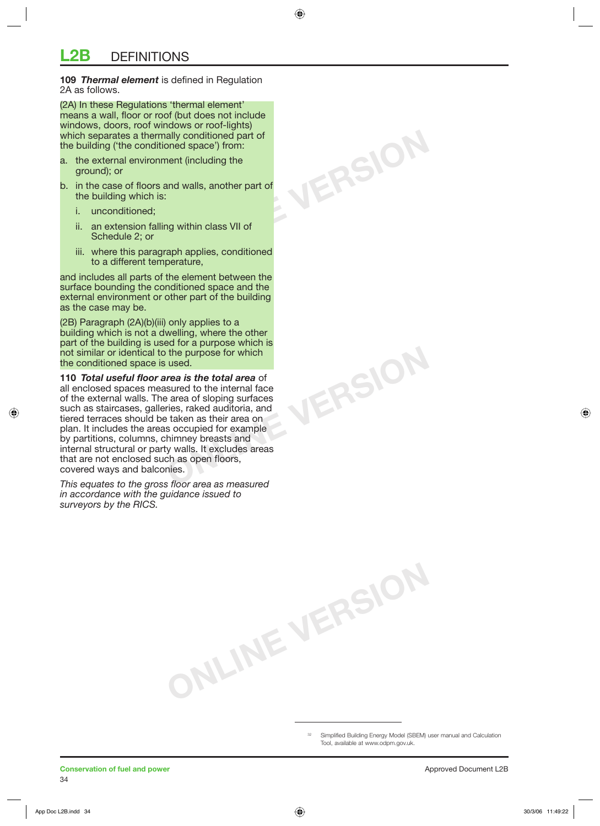**109** *Thermal element* is defined in Regulation 2A as follows.

(2A) In these Regulations 'thermal element' means a wall, floor or roof (but does not include windows, doors, roof windows or roof-lights) which separates a thermally conditioned part of the building ('the conditioned space') from:

- a. the external environment (including the ground); or
- b. in the case of floors and walls, another part of the building which is:
	- i. unconditioned;
	- ii. an extension falling within class VII of Schedule 2; or
	- iii. where this paragraph applies, conditioned to a different temperature,

and includes all parts of the element between the surface bounding the conditioned space and the external environment or other part of the building as the case may be.

(2B) Paragraph (2A)(b)(iii) only applies to a building which is not a dwelling, where the other part of the building is used for a purpose which is not similar or identical to the purpose for which the conditioned space is used.

**110** *Total useful floor area is the total area* of all enclosed spaces measured to the internal face of the external walls. The area of sloping surfaces such as staircases, galleries, raked auditoria, and tiered terraces should be taken as their area on plan. It includes the areas occupied for example by partitions, columns, chimney breasts and internal structural or party walls. It excludes areas that are not enclosed such as open floors, covered ways and balconies.

*This equates to the gross floor area as measured in accordance with the guidance issued to surveyors by the RICS.*

> Simplified Building Energy Model (SBEM) user manual and Calculation Tool, available at www.odpm.gov.uk.

**ONLINE VERSION**

**ONLINE VERSION**

**ONLINE VERSION**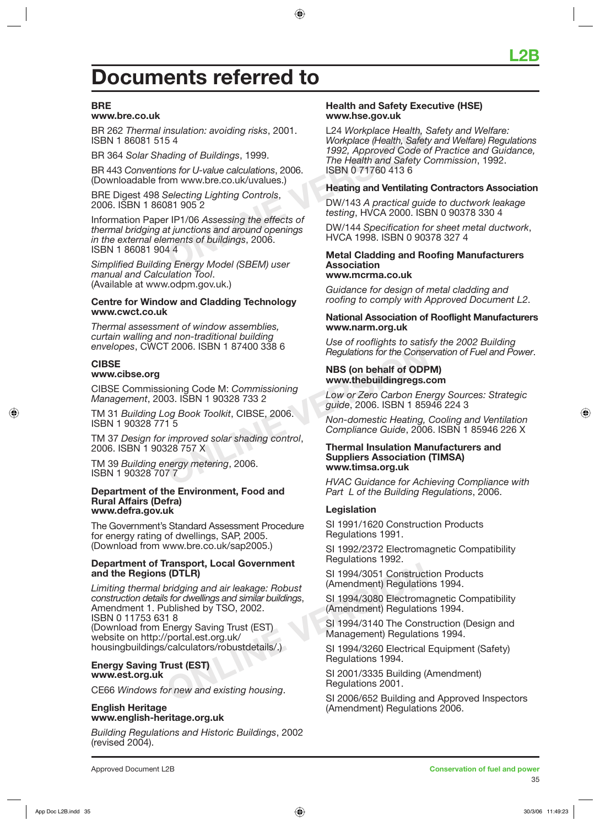## **Documents referred to**

#### **BRE**

#### **www.bre.co.uk**

BR 262 *Thermal insulation: avoiding risks*, 2001. ISBN 1 86081 515 4

BR 364 *Solar Shading of Buildings*, 1999.

BR 443 *Conventions for U-value calculations*, 2006. (Downloadable from www.bre.co.uk/uvalues.)

BRE Digest 498 *Selecting Lighting Controls*, 2006. ISBN 1 86081 905 2

Fraction: avoiding risks, 2001.<br>
S.4<br>
Morkplace (Health, Safet)<br>
Inte Health and Safety C<br>
ISBN 0717604136<br>
Selecting Lighting Controls,<br>
Selecting Lighting Controls,<br>
Selecting Lighting Controls,<br>
Selecting Lighting Contr Information Paper IP1/06 *Assessing the effects of thermal bridging at junctions and around openings in the external elements of buildings*, 2006. ISBN 1 86081 904 4

*Simplified Building Energy Model (SBEM) user manual and Calculation Tool*. (Available at www.odpm.gov.uk.)

#### **Centre for Window and Cladding Technology www.cwct.co.uk**

*Thermal assessment of window assemblies, curtain walling and non-traditional building envelopes*, CWCT 2006. ISBN 1 87400 338 6

#### **CIBSE www.cibse.org**

CIBSE Commissioning Code M: *Commissioning Management*, 2003. ISBN 1 90328 733 2

TM 31 *Building Log Book Toolkit*, CIBSE, 2006. ISBN 1 90328 771 5

TM 37 *Design for improved solar shading control*, 2006. ISBN 1 90328 757 X

TM 39 *Building energy metering*, 2006. ISBN 1 90328 707 7

#### **Department of the Environment, Food and Rural Affairs (Defra) www.defra.gov.uk**

The Government's Standard Assessment Procedure for energy rating of dwellings, SAP, 2005. (Download from www.bre.co.uk/sap2005.)

#### **Department of Transport, Local Government and the Regions (DTLR)**

Framsport, Local Government<br>
oridging and air leakage: Robust<br>
for dwellings and similar buildings,<br>
Unished by TSO, 2002.<br>
18<br>
The SI 1994/3080 Electroma<br>
ublished by TSO, 2002.<br>
18<br>
Ferry Saving Trust (EST)<br>
(portal.est. *Limiting thermal bridging and air leakage: Robust construction details for dwellings and similar buildings*, Amendment 1. Published by TSO, 2002. ISBN 0 11753 631 8 (Download from Energy Saving Trust (EST) website on http://portal.est.org.uk/ housingbuildings/calculators/robustdetails/.)

#### **Energy Saving Trust (EST) www.est.org.uk**

CE66 *Windows for new and existing housing*.

#### **English Heritage www.english-heritage.org.uk**

*Building Regulations and Historic Buildings*, 2002 (revised 2004).

#### **Health and Safety Executive (HSE) www.hse.gov.uk**

L24 *Workplace Health, Safety and Welfare: Workplace (Health, Safety and Welfare) Regulations 1992, Approved Code of Practice and Guidance, The Health and Safety Commission*, 1992. ISBN 0 71760 413 6

#### **Heating and Ventilating Contractors Association**

DW/143 *A practical guide to ductwork leakage testing*, HVCA 2000. ISBN 0 90378 330 4

DW/144 *Specification for sheet metal ductwork*, HVCA 1998. ISBN 0 90378 327 4

#### **Metal Cladding and Roofing Manufacturers Association www.mcrma.co.uk**

*Guidance for design of metal cladding and roofing to comply with Approved Document L2*.

#### **National Association of Rooflight Manufacturers www.narm.org.uk**

*Use of rooflights to satisfy the 2002 Building Regulations for the Conservation of Fuel and Power*.

#### **NBS (on behalf of ODPM) www.thebuildingregs.com**

*Low or Zero Carbon Energy Sources: Strategic guide*, 2006. ISBN 1 85946 224 3

*Non-domestic Heating, Cooling and Ventilation Compliance Guide*, 2006. ISBN 1 85946 226 X

# Pegulations for the Conse<br>
NBS (on behalf of ODP<br>
oning Code M: Commissioning<br>
ONLINEARY 190328 733 2<br>
Og Book Toolkit, CIBSE, 2006.<br>
15<br>
Og Book Toolkit, CIBSE, 2006.<br>
15<br>
Og Sandar shading control,<br>
Ompliance Guide, 2006 **Thermal Insulation Manufacturers and Suppliers Association (TIMSA) www.timsa.org.uk**

*HVAC Guidance for Achieving Compliance with Part L of the Building Regulations*, 2006.

#### **Legislation**

SI 1991/1620 Construction Products Regulations 1991.

SI 1992/2372 Electromagnetic Compatibility Regulations 1992.

SI 1994/3051 Construction Products (Amendment) Regulations 1994.

SI 1994/3080 Electromagnetic Compatibility (Amendment) Regulations 1994.

SI 1994/3140 The Construction (Design and Management) Regulations 1994.

SI 1994/3260 Electrical Equipment (Safety) Regulations 1994.

SI 2001/3335 Building (Amendment) Regulations 2001.

SI 2006/652 Building and Approved Inspectors (Amendment) Regulations 2006.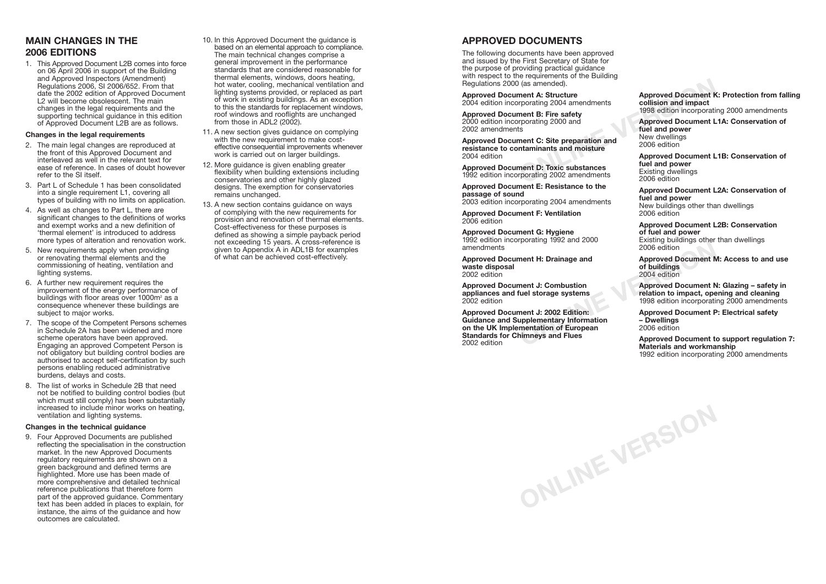## **APPROVED DOCUMENTS**

The following documents have been approved and issued by the First Secretary of State for the purpose of providing practical guidance with respect to the requirements of the Building Regulations 2000 (as amended).

**Approved Document A: Structure** 2004 edition incorporating 2004 amendments

**Approved Document B: Fire safety** 2000 edition incorporating 2000 and 2002 amendments

**Approved Document C: Site preparation and resistance to contaminants and moisture** 2004 edition

**Approved Document D: Toxic substances** 1992 edition incorporating 2002 amendments

**Approved Document E: Resistance to the passage of sound**

2003 edition incorporating 2004 amendments

**Approved Document F: Ventilation** 2006 edition

**Approved Document G: Hygiene** 1992 edition incorporating 1992 and 2000 amendments

**Approved Document H: Drainage and waste disposal** 2002 edition

**Approved Document J: Combustion appliances and fuel storage systems** 2002 edition

Fracting 1992 and 2008<br>
2006 edition<br>
ment H: Drainage and<br> **ONLINE SEARCE 2006** edition<br>
ment J: Combustion<br>
fuel storage systems<br>
fuel storage systems<br>
1998 edition to impact, ope<br>
1998 edition incorporation<br>
ment J: 200 **Approved Document J: 2002 Edition: Guidance and Supplementary Information on the UK Implementation of European Standards for Chimneys and Flues** 2002 edition

**ONLINE VERSION**

**Approved Document K: Protection from falling collision and impact** 1998 edition incorporating 2000 amendments

Fracting 2004 and the state of the state of the state of the state of the state of the state of the state of the state of the state of the state of the state of the state of the state of the state of the state of the state **Approved Document L1A: Conservation of fuel and power** New dwellings 2006 edition

**Approved Document L1B: Conservation of fuel and power** Existing dwellings 2006 edition

**Approved Document L2A: Conservation of fuel and power** New buildings other than dwellings 2006 edition

**Approved Document L2B: Conservation of fuel and power** Existing buildings other than dwellings 2006 edition

**Approved Document M: Access to and use of buildings** 2004 edition

**Approved Document N: Glazing – safety in relation to impact, opening and cleaning** 1998 edition incorporating 2000 amendments

**Approved Document P: Electrical safety – Dwellings** 2006 edition

**Approved Document to support regulation 7: Materials and workmanship** 1992 edition incorporating 2000 amendments